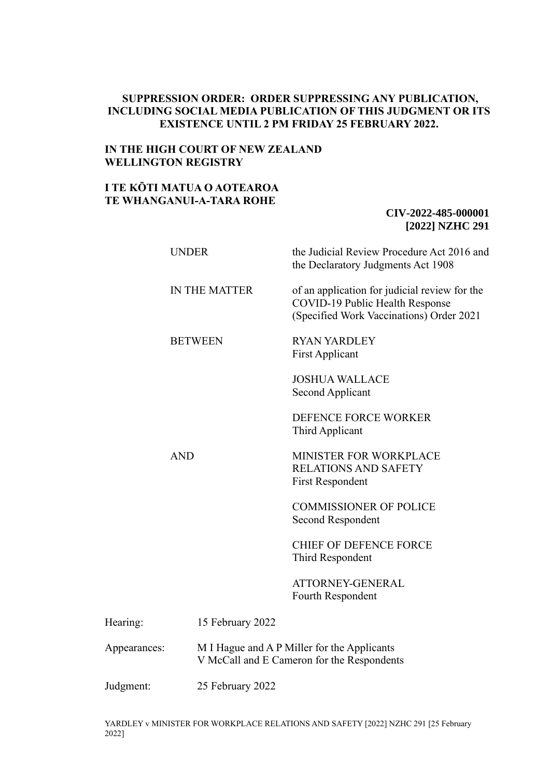## **SUPPRESSION ORDER: ORDER SUPPRESSING ANY PUBLICATION, INCLUDING SOCIAL MEDIA PUBLICATION OF THIS JUDGMENT OR ITS EXISTENCE UNTIL 2 PM FRIDAY 25 FEBRUARY 2022.**

# **IN THE HIGH COURT OF NEW ZEALAND WELLINGTON REGISTRY**

# **I TE KŌTI MATUA O AOTEAROA TE WHANGANUI-A-TARA ROHE**

# **CIV-2022-485-000001 [2022] NZHC 291**

|              | <b>UNDER</b>     | the Judicial Review Procedure Act 2016 and<br>the Declaratory Judgments Act 1908                                             |
|--------------|------------------|------------------------------------------------------------------------------------------------------------------------------|
|              | IN THE MATTER    | of an application for judicial review for the<br>COVID-19 Public Health Response<br>(Specified Work Vaccinations) Order 2021 |
|              | <b>BETWEEN</b>   | <b>RYAN YARDLEY</b><br><b>First Applicant</b>                                                                                |
|              |                  | <b>JOSHUA WALLACE</b><br>Second Applicant                                                                                    |
|              |                  | DEFENCE FORCE WORKER<br>Third Applicant                                                                                      |
|              | <b>AND</b>       | MINISTER FOR WORKPLACE<br><b>RELATIONS AND SAFETY</b><br><b>First Respondent</b>                                             |
|              |                  | <b>COMMISSIONER OF POLICE</b><br>Second Respondent                                                                           |
|              |                  | <b>CHIEF OF DEFENCE FORCE</b><br>Third Respondent                                                                            |
|              |                  | ATTORNEY-GENERAL<br>Fourth Respondent                                                                                        |
| Hearing:     | 15 February 2022 |                                                                                                                              |
| Appearances: |                  | M I Hague and A P Miller for the Applicants<br>V McCall and E Cameron for the Respondents                                    |
| Judgment:    | 25 February 2022 |                                                                                                                              |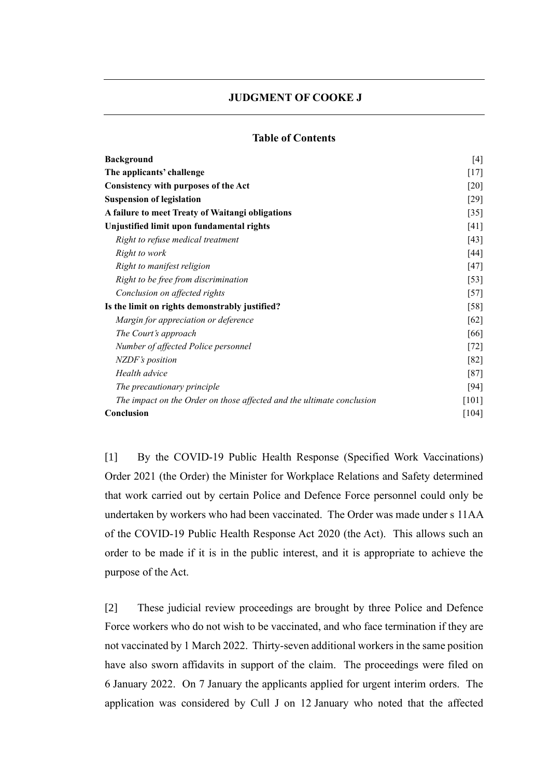## **JUDGMENT OF COOKE J**

## **Table of Contents**

| <b>Background</b>                                                     | [4]     |
|-----------------------------------------------------------------------|---------|
| The applicants' challenge                                             | $[17]$  |
| <b>Consistency with purposes of the Act</b>                           | $[20]$  |
| <b>Suspension of legislation</b>                                      | $[29]$  |
| A failure to meet Treaty of Waitangi obligations                      | $[35]$  |
| Unjustified limit upon fundamental rights                             | [41]    |
| Right to refuse medical treatment                                     | [43]    |
| Right to work                                                         | [44]    |
| Right to manifest religion                                            | $[47]$  |
| Right to be free from discrimination                                  | $[53]$  |
| Conclusion on affected rights                                         | $[57]$  |
| Is the limit on rights demonstrably justified?                        | [58]    |
| Margin for appreciation or deference                                  | [62]    |
| The Court's approach                                                  | [66]    |
| Number of affected Police personnel                                   | $[72]$  |
| <b>NZDF's</b> position                                                | [82]    |
| Health advice                                                         | $[87]$  |
| The precautionary principle                                           | $[94]$  |
| The impact on the Order on those affected and the ultimate conclusion | [101]   |
| Conclusion                                                            | $[104]$ |
|                                                                       |         |

[1] By the COVID-19 Public Health Response (Specified Work Vaccinations) Order 2021 (the Order) the Minister for Workplace Relations and Safety determined that work carried out by certain Police and Defence Force personnel could only be undertaken by workers who had been vaccinated. The Order was made under s 11AA of the COVID-19 Public Health Response Act 2020 (the Act). This allows such an order to be made if it is in the public interest, and it is appropriate to achieve the purpose of the Act.

[2] These judicial review proceedings are brought by three Police and Defence Force workers who do not wish to be vaccinated, and who face termination if they are not vaccinated by 1 March 2022. Thirty-seven additional workers in the same position have also sworn affidavits in support of the claim. The proceedings were filed on 6 January 2022. On 7 January the applicants applied for urgent interim orders. The application was considered by Cull J on 12 January who noted that the affected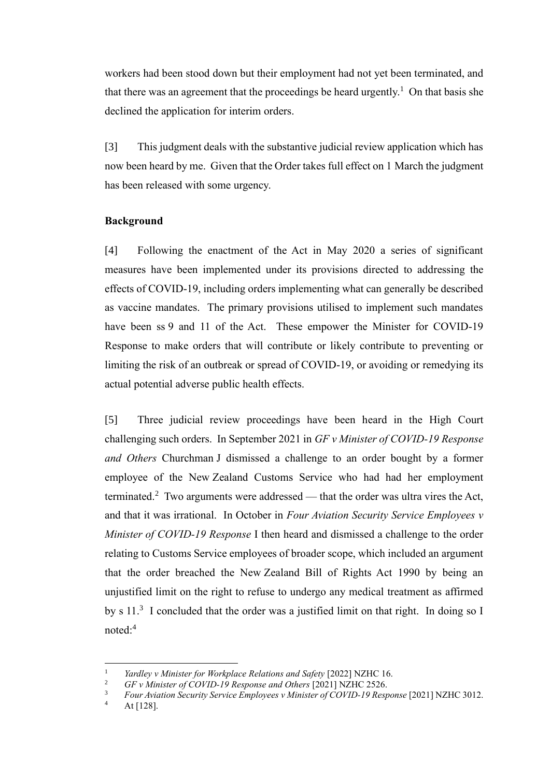workers had been stood down but their employment had not yet been terminated, and that there was an agreement that the proceedings be heard urgently.<sup>1</sup> On that basis she declined the application for interim orders.

[3] This judgment deals with the substantive judicial review application which has now been heard by me. Given that the Order takes full effect on 1 March the judgment has been released with some urgency.

## <span id="page-2-0"></span>**Background**

[4] Following the enactment of the Act in May 2020 a series of significant measures have been implemented under its provisions directed to addressing the effects of COVID-19, including orders implementing what can generally be described as vaccine mandates. The primary provisions utilised to implement such mandates have been ss 9 and 11 of the Act. These empower the Minister for COVID-19 Response to make orders that will contribute or likely contribute to preventing or limiting the risk of an outbreak or spread of COVID-19, or avoiding or remedying its actual potential adverse public health effects.

[5] Three judicial review proceedings have been heard in the High Court challenging such orders. In September 2021 in *GF v Minister of COVID-19 Response and Others* Churchman J dismissed a challenge to an order bought by a former employee of the New Zealand Customs Service who had had her employment terminated.<sup>2</sup> Two arguments were addressed — that the order was ultra vires the Act, and that it was irrational. In October in *Four Aviation Security Service Employees v Minister of COVID-19 Response* I then heard and dismissed a challenge to the order relating to Customs Service employees of broader scope, which included an argument that the order breached the New Zealand Bill of Rights Act 1990 by being an unjustified limit on the right to refuse to undergo any medical treatment as affirmed by s  $11.^3$  I concluded that the order was a justified limit on that right. In doing so I noted:<sup>4</sup>

<span id="page-2-1"></span><sup>&</sup>lt;sup>1</sup> *Yardley v Minister for Workplace Relations and Safety* [2022] NZHC 16.<br><sup>2</sup> *CE w Minister of COVID 10 Begrones and Others* [2021] NZHC 2526

<sup>2</sup> *GF v Minister of COVID-19 Response and Others* [2021] NZHC 2526.

<sup>3</sup> *Four Aviation Security Service Employees v Minister of COVID-19 Response* [2021] NZHC 3012.

At [128].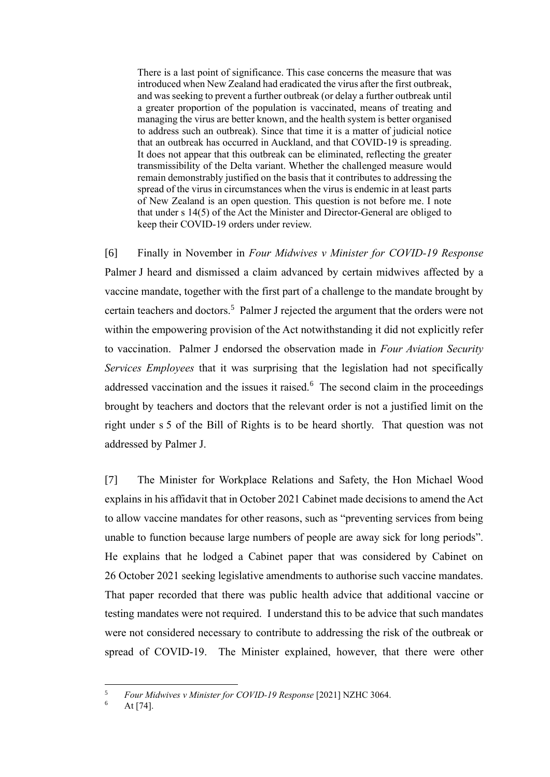There is a last point of significance. This case concerns the measure that was introduced when New Zealand had eradicated the virus after the first outbreak, and was seeking to prevent a further outbreak (or delay a further outbreak until a greater proportion of the population is vaccinated, means of treating and managing the virus are better known, and the health system is better organised to address such an outbreak). Since that time it is a matter of judicial notice that an outbreak has occurred in Auckland, and that COVID-19 is spreading. It does not appear that this outbreak can be eliminated, reflecting the greater transmissibility of the Delta variant. Whether the challenged measure would remain demonstrably justified on the basis that it contributes to addressing the spread of the virus in circumstances when the virus is endemic in at least parts of New Zealand is an open question. This question is not before me. I note that under s 14(5) of the Act the Minister and Director-General are obliged to keep their COVID-19 orders under review.

[6] Finally in November in *Four Midwives v Minister for COVID-19 Response* Palmer J heard and dismissed a claim advanced by certain midwives affected by a vaccine mandate, together with the first part of a challenge to the mandate brought by certain teachers and doctors.<sup>5</sup> Palmer J rejected the argument that the orders were not within the empowering provision of the Act notwithstanding it did not explicitly refer to vaccination. Palmer J endorsed the observation made in *Four Aviation Security Services Employees* that it was surprising that the legislation had not specifically addressed vaccination and the issues it raised. $6$  The second claim in the proceedings brought by teachers and doctors that the relevant order is not a justified limit on the right under s 5 of the Bill of Rights is to be heard shortly. That question was not addressed by Palmer J.

[7] The Minister for Workplace Relations and Safety, the Hon Michael Wood explains in his affidavit that in October 2021 Cabinet made decisions to amend the Act to allow vaccine mandates for other reasons, such as "preventing services from being unable to function because large numbers of people are away sick for long periods". He explains that he lodged a Cabinet paper that was considered by Cabinet on 26 October 2021 seeking legislative amendments to authorise such vaccine mandates. That paper recorded that there was public health advice that additional vaccine or testing mandates were not required. I understand this to be advice that such mandates were not considered necessary to contribute to addressing the risk of the outbreak or spread of COVID-19. The Minister explained, however, that there were other

<sup>5</sup> *Four Midwives v Minister for COVID-19 Response* [2021] NZHC 3064.

At  $[74]$ .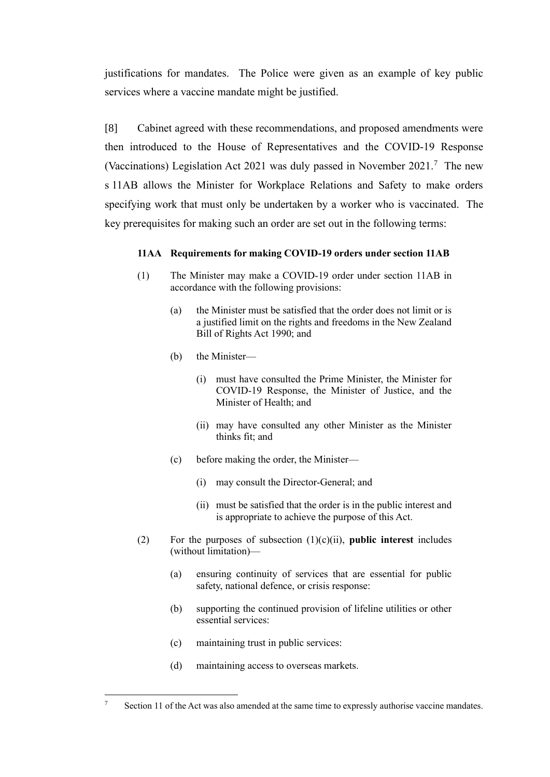justifications for mandates. The Police were given as an example of key public services where a vaccine mandate might be justified.

[8] Cabinet agreed with these recommendations, and proposed amendments were then introduced to the House of Representatives and the COVID-19 Response (Vaccinations) Legislation Act 2021 was duly passed in November 2021.<sup>7</sup> The new s 11AB allows the Minister for Workplace Relations and Safety to make orders specifying work that must only be undertaken by a worker who is vaccinated. The key prerequisites for making such an order are set out in the following terms:

### **11AA Requirements for making COVID-19 orders under section 11AB**

- (1) The Minister may make a COVID-19 order under section 11AB in accordance with the following provisions:
	- (a) the Minister must be satisfied that the order does not limit or is a justified limit on the rights and freedoms in the New Zealand Bill of Rights Act 1990; and
	- (b) the Minister—
		- (i) must have consulted the Prime Minister, the Minister for COVID-19 Response, the Minister of Justice, and the Minister of Health; and
		- (ii) may have consulted any other Minister as the Minister thinks fit; and
	- (c) before making the order, the Minister—
		- (i) may consult the Director-General; and
		- (ii) must be satisfied that the order is in the public interest and is appropriate to achieve the purpose of this Act.
- (2) For the purposes of subsection (1)(c)(ii), **public interest** includes (without limitation)—
	- (a) ensuring continuity of services that are essential for public safety, national defence, or crisis response:
	- (b) supporting the continued provision of lifeline utilities or other essential services:
	- (c) maintaining trust in public services:
	- (d) maintaining access to overseas markets.

<sup>&</sup>lt;sup>7</sup> Section 11 of the Act was also amended at the same time to expressly authorise vaccine mandates.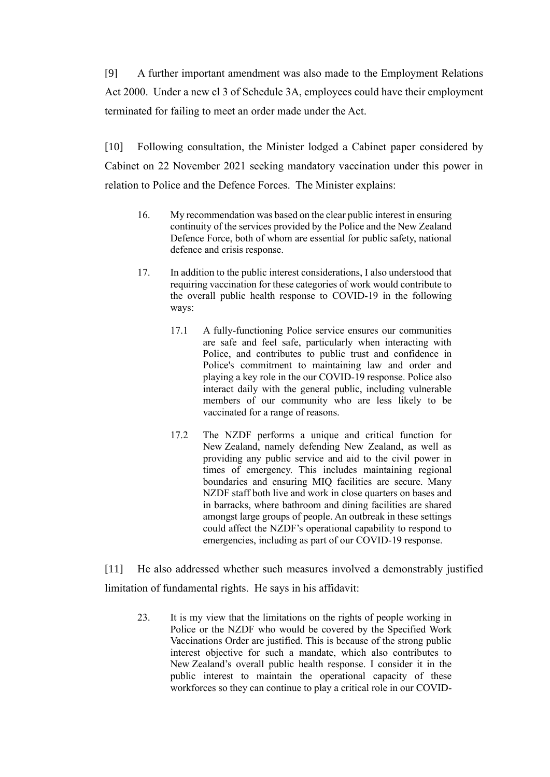[9] A further important amendment was also made to the Employment Relations Act 2000. Under a new cl 3 of Schedule 3A, employees could have their employment terminated for failing to meet an order made under the Act.

[10] Following consultation, the Minister lodged a Cabinet paper considered by Cabinet on 22 November 2021 seeking mandatory vaccination under this power in relation to Police and the Defence Forces. The Minister explains:

- 16. My recommendation was based on the clear public interest in ensuring continuity of the services provided by the Police and the New Zealand Defence Force, both of whom are essential for public safety, national defence and crisis response.
- 17. In addition to the public interest considerations, I also understood that requiring vaccination for these categories of work would contribute to the overall public health response to COVID-19 in the following ways:
	- 17.1 A fully-functioning Police service ensures our communities are safe and feel safe, particularly when interacting with Police, and contributes to public trust and confidence in Police's commitment to maintaining law and order and playing a key role in the our COVID-19 response. Police also interact daily with the general public, including vulnerable members of our community who are less likely to be vaccinated for a range of reasons.
	- 17.2 The NZDF performs a unique and critical function for New Zealand, namely defending New Zealand, as well as providing any public service and aid to the civil power in times of emergency. This includes maintaining regional boundaries and ensuring MIQ facilities are secure. Many NZDF staff both live and work in close quarters on bases and in barracks, where bathroom and dining facilities are shared amongst large groups of people. An outbreak in these settings could affect the NZDF's operational capability to respond to emergencies, including as part of our COVID-19 response.

[11] He also addressed whether such measures involved a demonstrably justified limitation of fundamental rights. He says in his affidavit:

23. It is my view that the limitations on the rights of people working in Police or the NZDF who would be covered by the Specified Work Vaccinations Order are justified. This is because of the strong public interest objective for such a mandate, which also contributes to New Zealand's overall public health response. I consider it in the public interest to maintain the operational capacity of these workforces so they can continue to play a critical role in our COVID-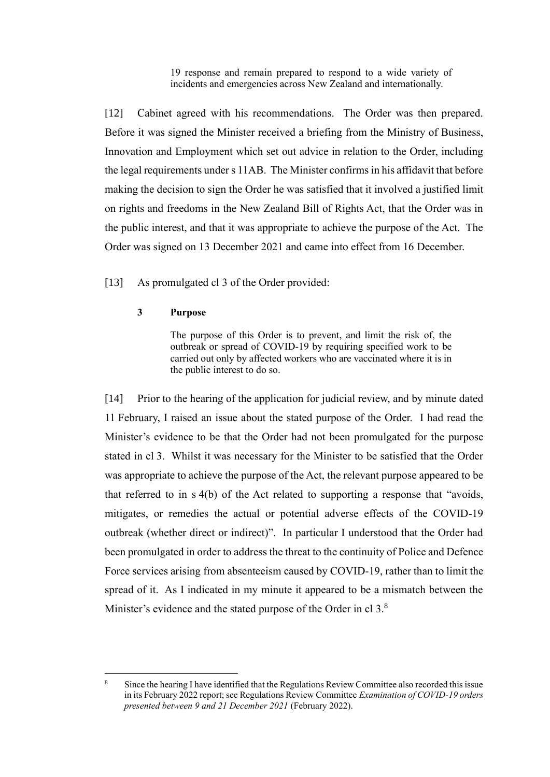19 response and remain prepared to respond to a wide variety of incidents and emergencies across New Zealand and internationally.

[12] Cabinet agreed with his recommendations. The Order was then prepared. Before it was signed the Minister received a briefing from the Ministry of Business, Innovation and Employment which set out advice in relation to the Order, including the legal requirements under s 11AB. The Minister confirms in his affidavit that before making the decision to sign the Order he was satisfied that it involved a justified limit on rights and freedoms in the New Zealand Bill of Rights Act, that the Order was in the public interest, and that it was appropriate to achieve the purpose of the Act. The Order was signed on 13 December 2021 and came into effect from 16 December.

[13] As promulgated cl 3 of the Order provided:

### **3 Purpose**

The purpose of this Order is to prevent, and limit the risk of, the outbreak or spread of COVID-19 by requiring specified work to be carried out only by affected workers who are vaccinated where it is in the public interest to do so.

[14] Prior to the hearing of the application for judicial review, and by minute dated 11 February, I raised an issue about the stated purpose of the Order. I had read the Minister's evidence to be that the Order had not been promulgated for the purpose stated in cl 3. Whilst it was necessary for the Minister to be satisfied that the Order was appropriate to achieve the purpose of the Act, the relevant purpose appeared to be that referred to in s 4(b) of the Act related to supporting a response that "avoids, mitigates, or remedies the actual or potential adverse effects of the COVID-19 outbreak (whether direct or indirect)". In particular I understood that the Order had been promulgated in order to address the threat to the continuity of Police and Defence Force services arising from absenteeism caused by COVID-19, rather than to limit the spread of it. As I indicated in my minute it appeared to be a mismatch between the Minister's evidence and the stated purpose of the Order in cl 3.<sup>8</sup>

<sup>8</sup> Since the hearing I have identified that the Regulations Review Committee also recorded this issue in its February 2022 report; see Regulations Review Committee *Examination of COVID-19 orders presented between 9 and 21 December 2021* (February 2022).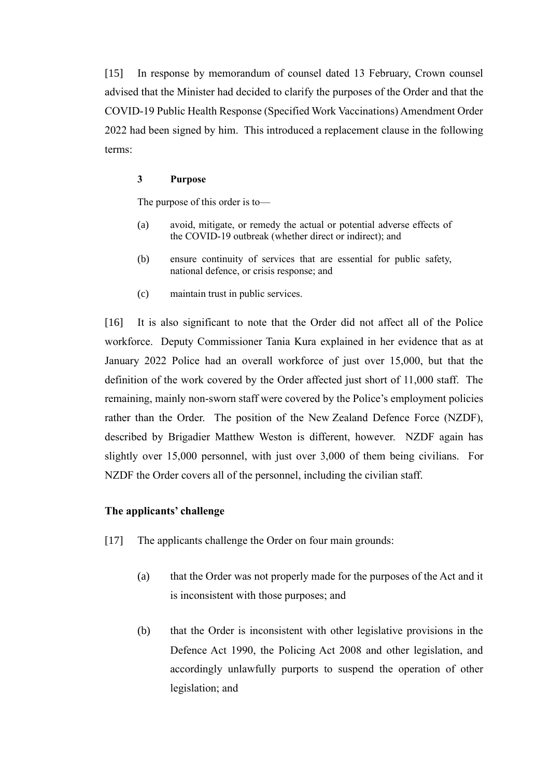[15] In response by memorandum of counsel dated 13 February, Crown counsel advised that the Minister had decided to clarify the purposes of the Order and that the COVID-19 Public Health Response (Specified Work Vaccinations) Amendment Order 2022 had been signed by him. This introduced a replacement clause in the following terms:

#### **3 Purpose**

The purpose of this order is to—

- (a) avoid, mitigate, or remedy the actual or potential adverse effects of the COVID-19 outbreak (whether direct or indirect); and
- (b) ensure continuity of services that are essential for public safety, national defence, or crisis response; and
- (c) maintain trust in public services.

[16] It is also significant to note that the Order did not affect all of the Police workforce. Deputy Commissioner Tania Kura explained in her evidence that as at January 2022 Police had an overall workforce of just over 15,000, but that the definition of the work covered by the Order affected just short of 11,000 staff. The remaining, mainly non-sworn staff were covered by the Police's employment policies rather than the Order. The position of the New Zealand Defence Force (NZDF), described by Brigadier Matthew Weston is different, however. NZDF again has slightly over 15,000 personnel, with just over 3,000 of them being civilians. For NZDF the Order covers all of the personnel, including the civilian staff.

### <span id="page-7-0"></span>**The applicants' challenge**

- [17] The applicants challenge the Order on four main grounds:
	- (a) that the Order was not properly made for the purposes of the Act and it is inconsistent with those purposes; and
	- (b) that the Order is inconsistent with other legislative provisions in the Defence Act 1990, the Policing Act 2008 and other legislation, and accordingly unlawfully purports to suspend the operation of other legislation; and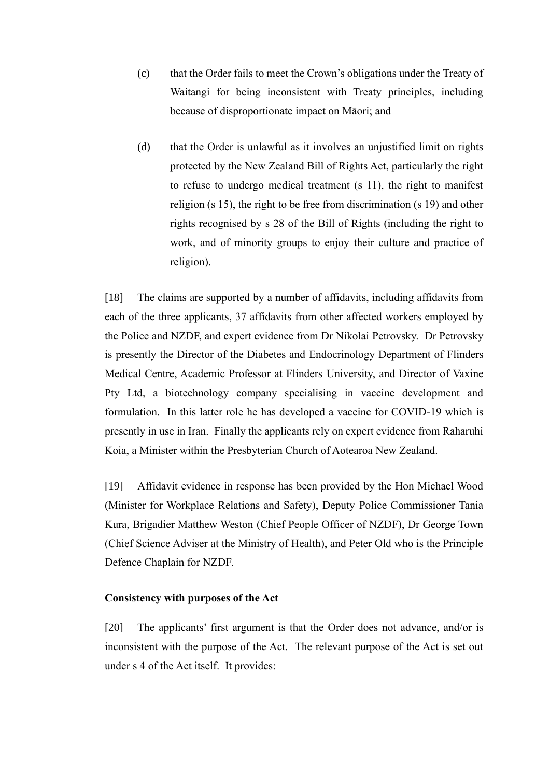- (c) that the Order fails to meet the Crown's obligations under the Treaty of Waitangi for being inconsistent with Treaty principles, including because of disproportionate impact on Māori; and
- (d) that the Order is unlawful as it involves an unjustified limit on rights protected by the New Zealand Bill of Rights Act, particularly the right to refuse to undergo medical treatment (s 11), the right to manifest religion (s 15), the right to be free from discrimination (s 19) and other rights recognised by s 28 of the Bill of Rights (including the right to work, and of minority groups to enjoy their culture and practice of religion).

[18] The claims are supported by a number of affidavits, including affidavits from each of the three applicants, 37 affidavits from other affected workers employed by the Police and NZDF, and expert evidence from Dr Nikolai Petrovsky. Dr Petrovsky is presently the Director of the Diabetes and Endocrinology Department of Flinders Medical Centre, Academic Professor at Flinders University, and Director of Vaxine Pty Ltd, a biotechnology company specialising in vaccine development and formulation. In this latter role he has developed a vaccine for COVID-19 which is presently in use in Iran. Finally the applicants rely on expert evidence from Raharuhi Koia, a Minister within the Presbyterian Church of Aotearoa New Zealand.

[19] Affidavit evidence in response has been provided by the Hon Michael Wood (Minister for Workplace Relations and Safety), Deputy Police Commissioner Tania Kura, Brigadier Matthew Weston (Chief People Officer of NZDF), Dr George Town (Chief Science Adviser at the Ministry of Health), and Peter Old who is the Principle Defence Chaplain for NZDF.

#### <span id="page-8-0"></span>**Consistency with purposes of the Act**

[20] The applicants' first argument is that the Order does not advance, and/or is inconsistent with the purpose of the Act. The relevant purpose of the Act is set out under s 4 of the Act itself. It provides: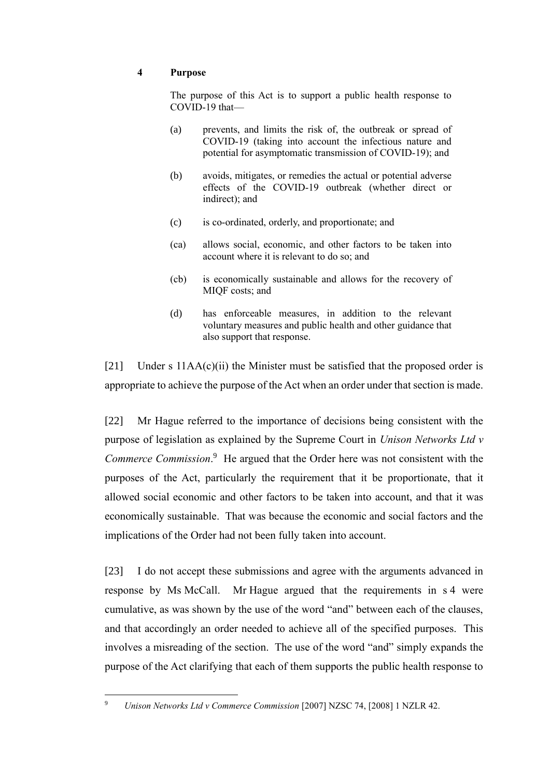## **4 Purpose**

The purpose of this Act is to support a public health response to COVID-19 that—

- (a) prevents, and limits the risk of, the outbreak or spread of COVID-19 (taking into account the infectious nature and potential for asymptomatic transmission of COVID-19); and
- (b) avoids, mitigates, or remedies the actual or potential adverse effects of the COVID-19 outbreak (whether direct or indirect); and
- (c) is co-ordinated, orderly, and proportionate; and
- (ca) allows social, economic, and other factors to be taken into account where it is relevant to do so; and
- (cb) is economically sustainable and allows for the recovery of MIQF costs; and
- (d) has enforceable measures, in addition to the relevant voluntary measures and public health and other guidance that also support that response.

[21] Under s 11AA(c)(ii) the Minister must be satisfied that the proposed order is appropriate to achieve the purpose of the Act when an order under that section is made.

[22] Mr Hague referred to the importance of decisions being consistent with the purpose of legislation as explained by the Supreme Court in *Unison Networks Ltd v*  Commerce Commission.<sup>9</sup> He argued that the Order here was not consistent with the purposes of the Act, particularly the requirement that it be proportionate, that it allowed social economic and other factors to be taken into account, and that it was economically sustainable. That was because the economic and social factors and the implications of the Order had not been fully taken into account.

[23] I do not accept these submissions and agree with the arguments advanced in response by Ms McCall. Mr Hague argued that the requirements in s 4 were cumulative, as was shown by the use of the word "and" between each of the clauses, and that accordingly an order needed to achieve all of the specified purposes. This involves a misreading of the section. The use of the word "and" simply expands the purpose of the Act clarifying that each of them supports the public health response to

<sup>9</sup> *Unison Networks Ltd v Commerce Commission* [2007] NZSC 74, [2008] 1 NZLR 42.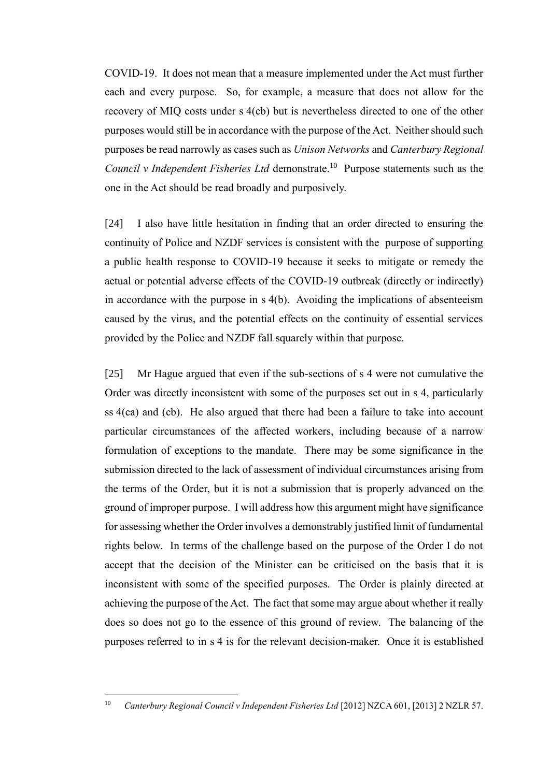COVID-19. It does not mean that a measure implemented under the Act must further each and every purpose. So, for example, a measure that does not allow for the recovery of MIQ costs under s 4(cb) but is nevertheless directed to one of the other purposes would still be in accordance with the purpose of the Act. Neither should such purposes be read narrowly as cases such as *Unison Networks* and *Canterbury Regional*  Council v Independent Fisheries Ltd demonstrate.<sup>10</sup> Purpose statements such as the one in the Act should be read broadly and purposively.

[24] I also have little hesitation in finding that an order directed to ensuring the continuity of Police and NZDF services is consistent with the purpose of supporting a public health response to COVID-19 because it seeks to mitigate or remedy the actual or potential adverse effects of the COVID-19 outbreak (directly or indirectly) in accordance with the purpose in s 4(b). Avoiding the implications of absenteeism caused by the virus, and the potential effects on the continuity of essential services provided by the Police and NZDF fall squarely within that purpose.

[25] Mr Hague argued that even if the sub-sections of s 4 were not cumulative the Order was directly inconsistent with some of the purposes set out in s 4, particularly ss 4(ca) and (cb). He also argued that there had been a failure to take into account particular circumstances of the affected workers, including because of a narrow formulation of exceptions to the mandate. There may be some significance in the submission directed to the lack of assessment of individual circumstances arising from the terms of the Order, but it is not a submission that is properly advanced on the ground of improper purpose. I will address how this argument might have significance for assessing whether the Order involves a demonstrably justified limit of fundamental rights below. In terms of the challenge based on the purpose of the Order I do not accept that the decision of the Minister can be criticised on the basis that it is inconsistent with some of the specified purposes. The Order is plainly directed at achieving the purpose of the Act. The fact that some may argue about whether it really does so does not go to the essence of this ground of review. The balancing of the purposes referred to in s 4 is for the relevant decision-maker. Once it is established

<sup>&</sup>lt;sup>10</sup> *Canterbury Regional Council v Independent Fisheries Ltd* [2012] NZCA 601, [2013] 2 NZLR 57.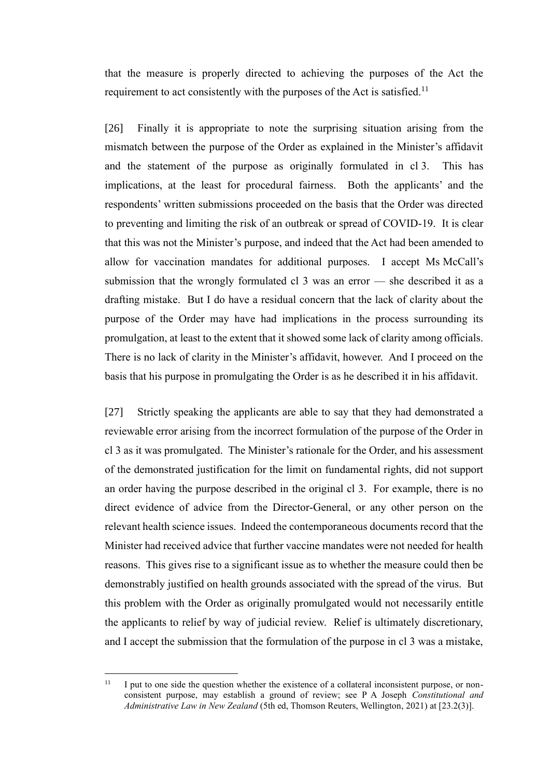that the measure is properly directed to achieving the purposes of the Act the requirement to act consistently with the purposes of the Act is satisfied.<sup>11</sup>

[26] Finally it is appropriate to note the surprising situation arising from the mismatch between the purpose of the Order as explained in the Minister's affidavit and the statement of the purpose as originally formulated in cl 3. This has implications, at the least for procedural fairness. Both the applicants' and the respondents' written submissions proceeded on the basis that the Order was directed to preventing and limiting the risk of an outbreak or spread of COVID-19. It is clear that this was not the Minister's purpose, and indeed that the Act had been amended to allow for vaccination mandates for additional purposes. I accept Ms McCall's submission that the wrongly formulated cl 3 was an error — she described it as a drafting mistake. But I do have a residual concern that the lack of clarity about the purpose of the Order may have had implications in the process surrounding its promulgation, at least to the extent that it showed some lack of clarity among officials. There is no lack of clarity in the Minister's affidavit, however. And I proceed on the basis that his purpose in promulgating the Order is as he described it in his affidavit.

[27] Strictly speaking the applicants are able to say that they had demonstrated a reviewable error arising from the incorrect formulation of the purpose of the Order in cl 3 as it was promulgated. The Minister's rationale for the Order, and his assessment of the demonstrated justification for the limit on fundamental rights, did not support an order having the purpose described in the original cl 3. For example, there is no direct evidence of advice from the Director-General, or any other person on the relevant health science issues. Indeed the contemporaneous documents record that the Minister had received advice that further vaccine mandates were not needed for health reasons. This gives rise to a significant issue as to whether the measure could then be demonstrably justified on health grounds associated with the spread of the virus. But this problem with the Order as originally promulgated would not necessarily entitle the applicants to relief by way of judicial review. Relief is ultimately discretionary, and I accept the submission that the formulation of the purpose in cl 3 was a mistake,

<sup>&</sup>lt;sup>11</sup> I put to one side the question whether the existence of a collateral inconsistent purpose, or nonconsistent purpose, may establish a ground of review; see P A Joseph *Constitutional and Administrative Law in New Zealand* (5th ed, Thomson Reuters, Wellington, 2021) at [23.2(3)].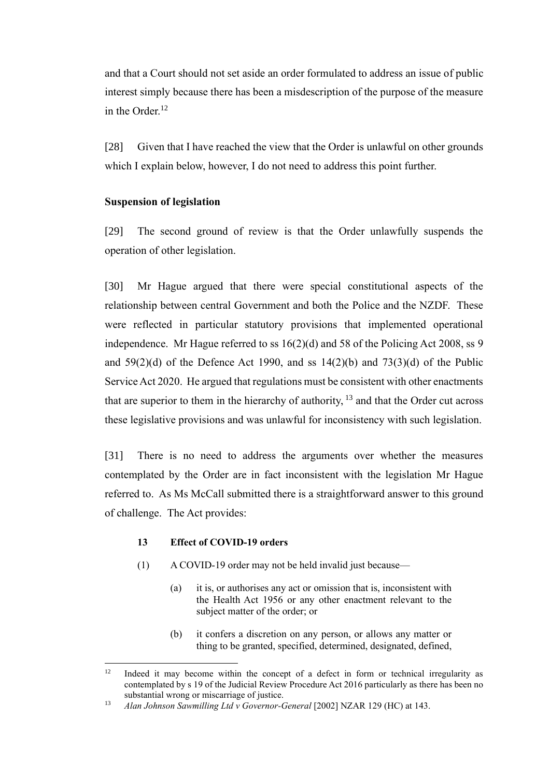and that a Court should not set aside an order formulated to address an issue of public interest simply because there has been a misdescription of the purpose of the measure in the Order.<sup>12</sup>

[28] Given that I have reached the view that the Order is unlawful on other grounds which I explain below, however, I do not need to address this point further.

## <span id="page-12-0"></span>**Suspension of legislation**

[29] The second ground of review is that the Order unlawfully suspends the operation of other legislation.

[30] Mr Hague argued that there were special constitutional aspects of the relationship between central Government and both the Police and the NZDF. These were reflected in particular statutory provisions that implemented operational independence. Mr Hague referred to ss 16(2)(d) and 58 of the Policing Act 2008, ss 9 and  $59(2)(d)$  of the Defence Act 1990, and ss  $14(2)(b)$  and  $73(3)(d)$  of the Public Service Act 2020. He argued that regulations must be consistent with other enactments that are superior to them in the hierarchy of authority,  $13$  and that the Order cut across these legislative provisions and was unlawful for inconsistency with such legislation.

[31] There is no need to address the arguments over whether the measures contemplated by the Order are in fact inconsistent with the legislation Mr Hague referred to. As Ms McCall submitted there is a straightforward answer to this ground of challenge. The Act provides:

## **13 Effect of COVID-19 orders**

- (1) A COVID-19 order may not be held invalid just because—
	- (a) it is, or authorises any act or omission that is, inconsistent with the Health Act 1956 or any other enactment relevant to the subject matter of the order; or
	- (b) it confers a discretion on any person, or allows any matter or thing to be granted, specified, determined, designated, defined,

 $12$  Indeed it may become within the concept of a defect in form or technical irregularity as contemplated by s 19 of the Judicial Review Procedure Act 2016 particularly as there has been no substantial wrong or miscarriage of justice.

<sup>13</sup> *Alan Johnson Sawmilling Ltd v Governor-General* [2002] NZAR 129 (HC) at 143.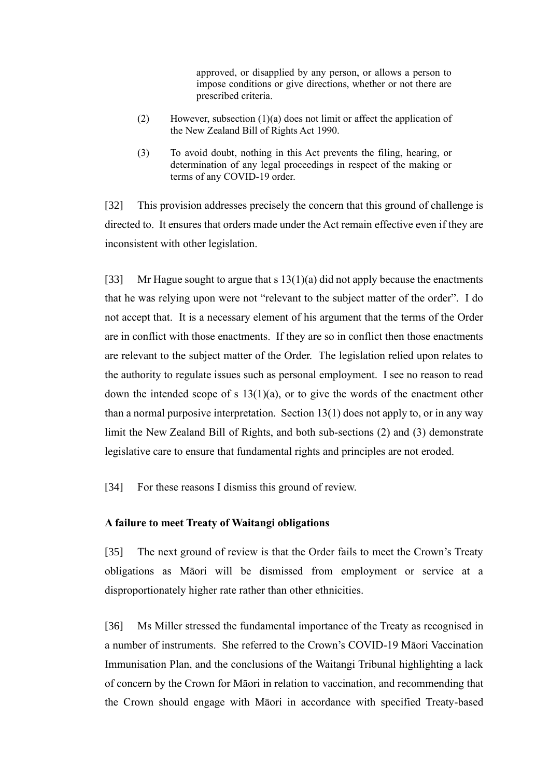approved, or disapplied by any person, or allows a person to impose conditions or give directions, whether or not there are prescribed criteria.

- (2) However, subsection (1)(a) does not limit or affect the application of the New Zealand Bill of Rights Act 1990.
- (3) To avoid doubt, nothing in this Act prevents the filing, hearing, or determination of any legal proceedings in respect of the making or terms of any COVID-19 order.

[32] This provision addresses precisely the concern that this ground of challenge is directed to. It ensures that orders made under the Act remain effective even if they are inconsistent with other legislation.

[33] Mr Hague sought to argue that s  $13(1)(a)$  did not apply because the enactments that he was relying upon were not "relevant to the subject matter of the order". I do not accept that. It is a necessary element of his argument that the terms of the Order are in conflict with those enactments. If they are so in conflict then those enactments are relevant to the subject matter of the Order. The legislation relied upon relates to the authority to regulate issues such as personal employment. I see no reason to read down the intended scope of s  $13(1)(a)$ , or to give the words of the enactment other than a normal purposive interpretation. Section 13(1) does not apply to, or in any way limit the New Zealand Bill of Rights, and both sub-sections (2) and (3) demonstrate legislative care to ensure that fundamental rights and principles are not eroded.

<span id="page-13-0"></span>[34] For these reasons I dismiss this ground of review.

### **A failure to meet Treaty of Waitangi obligations**

[35] The next ground of review is that the Order fails to meet the Crown's Treaty obligations as Māori will be dismissed from employment or service at a disproportionately higher rate rather than other ethnicities.

[36] Ms Miller stressed the fundamental importance of the Treaty as recognised in a number of instruments. She referred to the Crown's COVID-19 Māori Vaccination Immunisation Plan, and the conclusions of the Waitangi Tribunal highlighting a lack of concern by the Crown for Māori in relation to vaccination, and recommending that the Crown should engage with Māori in accordance with specified Treaty-based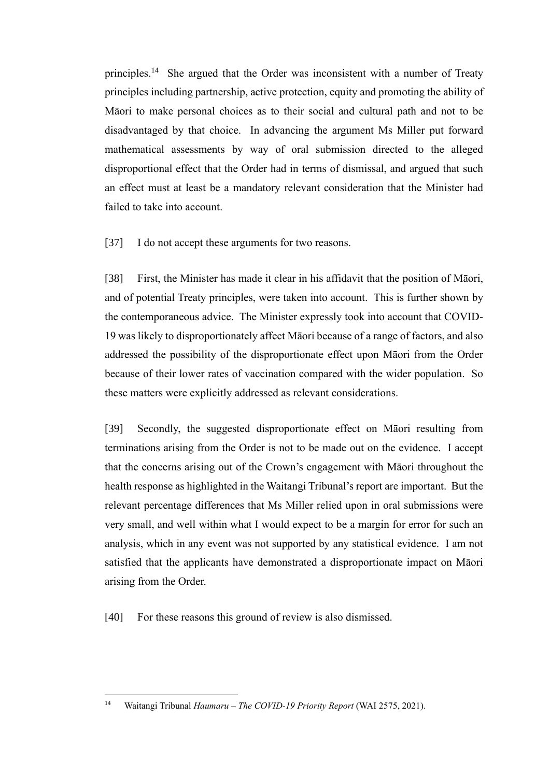principles.<sup>14</sup> She argued that the Order was inconsistent with a number of Treaty principles including partnership, active protection, equity and promoting the ability of Māori to make personal choices as to their social and cultural path and not to be disadvantaged by that choice. In advancing the argument Ms Miller put forward mathematical assessments by way of oral submission directed to the alleged disproportional effect that the Order had in terms of dismissal, and argued that such an effect must at least be a mandatory relevant consideration that the Minister had failed to take into account.

[37] I do not accept these arguments for two reasons.

[38] First, the Minister has made it clear in his affidavit that the position of Māori, and of potential Treaty principles, were taken into account. This is further shown by the contemporaneous advice. The Minister expressly took into account that COVID-19 was likely to disproportionately affect Māori because of a range of factors, and also addressed the possibility of the disproportionate effect upon Māori from the Order because of their lower rates of vaccination compared with the wider population. So these matters were explicitly addressed as relevant considerations.

[39] Secondly, the suggested disproportionate effect on Māori resulting from terminations arising from the Order is not to be made out on the evidence. I accept that the concerns arising out of the Crown's engagement with Māori throughout the health response as highlighted in the Waitangi Tribunal's report are important. But the relevant percentage differences that Ms Miller relied upon in oral submissions were very small, and well within what I would expect to be a margin for error for such an analysis, which in any event was not supported by any statistical evidence. I am not satisfied that the applicants have demonstrated a disproportionate impact on Māori arising from the Order.

[40] For these reasons this ground of review is also dismissed.

<sup>14</sup> Waitangi Tribunal *Haumaru – The COVID-19 Priority Report* (WAI 2575, 2021).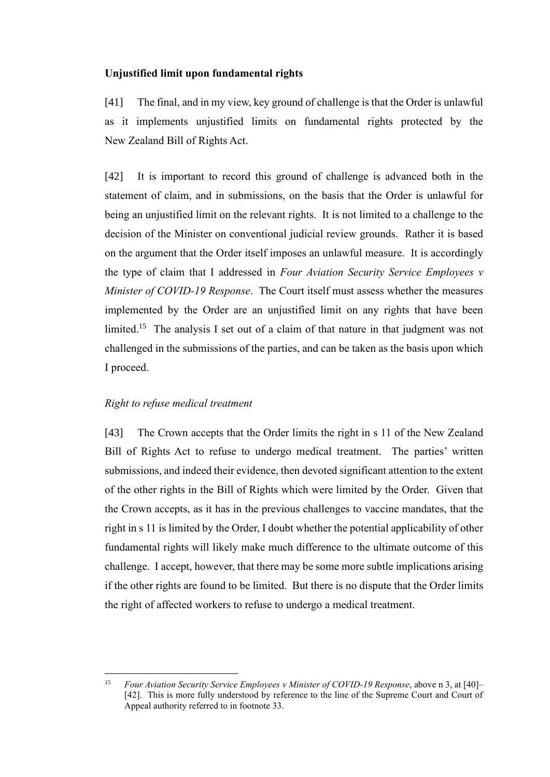## <span id="page-15-0"></span>**Unjustified limit upon fundamental rights**

[41] The final, and in my view, key ground of challenge is that the Order is unlawful as it implements unjustified limits on fundamental rights protected by the New Zealand Bill of Rights Act.

[42] It is important to record this ground of challenge is advanced both in the statement of claim, and in submissions, on the basis that the Order is unlawful for being an unjustified limit on the relevant rights. It is not limited to a challenge to the decision of the Minister on conventional judicial review grounds. Rather it is based on the argument that the Order itself imposes an unlawful measure. It is accordingly the type of claim that I addressed in *Four Aviation Security Service Employees v Minister of COVID-19 Response*. The Court itself must assess whether the measures implemented by the Order are an unjustified limit on any rights that have been limited.<sup>15</sup> The analysis I set out of a claim of that nature in that judgment was not challenged in the submissions of the parties, and can be taken as the basis upon which I proceed.

#### <span id="page-15-1"></span>*Right to refuse medical treatment*

[43] The Crown accepts that the Order limits the right in s 11 of the New Zealand Bill of Rights Act to refuse to undergo medical treatment. The parties' written submissions, and indeed their evidence, then devoted significant attention to the extent of the other rights in the Bill of Rights which were limited by the Order. Given that the Crown accepts, as it has in the previous challenges to vaccine mandates, that the right in s 11 is limited by the Order, I doubt whether the potential applicability of other fundamental rights will likely make much difference to the ultimate outcome of this challenge. I accept, however, that there may be some more subtle implications arising if the other rights are found to be limited. But there is no dispute that the Order limits the right of affected workers to refuse to undergo a medical treatment.

<sup>15</sup> *Four Aviation Security Service Employees v Minister of COVID-19 Response*, above n [3,](#page-2-1) at [40]– [42]. This is more fully understood by reference to the line of the Supreme Court and Court of Appeal authority referred to in footnote 33.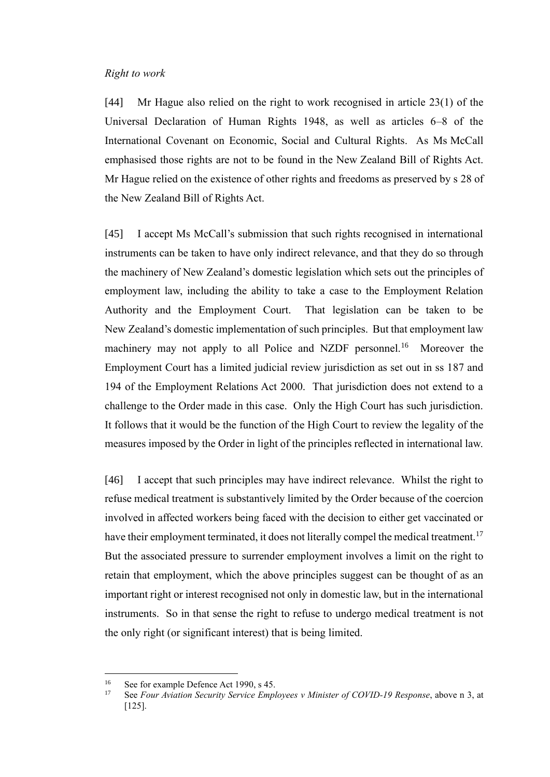#### <span id="page-16-0"></span>*Right to work*

[44] Mr Hague also relied on the right to work recognised in article 23(1) of the Universal Declaration of Human Rights 1948, as well as articles 6–8 of the International Covenant on Economic, Social and Cultural Rights. As Ms McCall emphasised those rights are not to be found in the New Zealand Bill of Rights Act. Mr Hague relied on the existence of other rights and freedoms as preserved by s 28 of the New Zealand Bill of Rights Act.

[45] I accept Ms McCall's submission that such rights recognised in international instruments can be taken to have only indirect relevance, and that they do so through the machinery of New Zealand's domestic legislation which sets out the principles of employment law, including the ability to take a case to the Employment Relation Authority and the Employment Court. That legislation can be taken to be New Zealand's domestic implementation of such principles. But that employment law machinery may not apply to all Police and NZDF personnel.<sup>16</sup> Moreover the Employment Court has a limited judicial review jurisdiction as set out in ss 187 and 194 of the Employment Relations Act 2000. That jurisdiction does not extend to a challenge to the Order made in this case. Only the High Court has such jurisdiction. It follows that it would be the function of the High Court to review the legality of the measures imposed by the Order in light of the principles reflected in international law.

[46] I accept that such principles may have indirect relevance. Whilst the right to refuse medical treatment is substantively limited by the Order because of the coercion involved in affected workers being faced with the decision to either get vaccinated or have their employment terminated, it does not literally compel the medical treatment.<sup>17</sup> But the associated pressure to surrender employment involves a limit on the right to retain that employment, which the above principles suggest can be thought of as an important right or interest recognised not only in domestic law, but in the international instruments. So in that sense the right to refuse to undergo medical treatment is not the only right (or significant interest) that is being limited.

<sup>&</sup>lt;sup>16</sup> See for example Defence Act 1990, s 45.

<sup>17</sup> See *Four Aviation Security Service Employees v Minister of COVID-19 Response*, above n [3,](#page-2-1) at [125].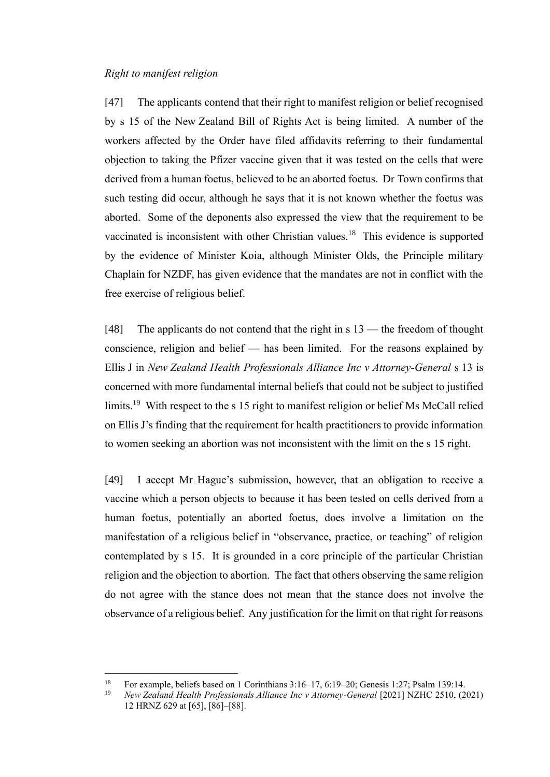### <span id="page-17-0"></span>*Right to manifest religion*

[47] The applicants contend that their right to manifest religion or belief recognised by s 15 of the New Zealand Bill of Rights Act is being limited. A number of the workers affected by the Order have filed affidavits referring to their fundamental objection to taking the Pfizer vaccine given that it was tested on the cells that were derived from a human foetus, believed to be an aborted foetus. Dr Town confirms that such testing did occur, although he says that it is not known whether the foetus was aborted. Some of the deponents also expressed the view that the requirement to be vaccinated is inconsistent with other Christian values.<sup>18</sup> This evidence is supported by the evidence of Minister Koia, although Minister Olds, the Principle military Chaplain for NZDF, has given evidence that the mandates are not in conflict with the free exercise of religious belief.

<span id="page-17-1"></span>[48] The applicants do not contend that the right in s 13 — the freedom of thought conscience, religion and belief — has been limited. For the reasons explained by Ellis J in *New Zealand Health Professionals Alliance Inc v Attorney-General* s 13 is concerned with more fundamental internal beliefs that could not be subject to justified limits.<sup>19</sup> With respect to the s 15 right to manifest religion or belief Ms McCall relied on Ellis J's finding that the requirement for health practitioners to provide information to women seeking an abortion was not inconsistent with the limit on the s 15 right.

[49] I accept Mr Hague's submission, however, that an obligation to receive a vaccine which a person objects to because it has been tested on cells derived from a human foetus, potentially an aborted foetus, does involve a limitation on the manifestation of a religious belief in "observance, practice, or teaching" of religion contemplated by s 15. It is grounded in a core principle of the particular Christian religion and the objection to abortion. The fact that others observing the same religion do not agree with the stance does not mean that the stance does not involve the observance of a religious belief. Any justification for the limit on that right for reasons

<sup>&</sup>lt;sup>18</sup> For example, beliefs based on 1 Corinthians  $3:16-17, 6:19-20$ ; Genesis 1:27; Psalm 139:14.<br><sup>19</sup> New Zealand Health Professionals Alliance Inc.y. Attorney General [2021] NZHC 2510 (2

<sup>19</sup> *New Zealand Health Professionals Alliance Inc v Attorney-General* [2021] NZHC 2510, (2021) 12 HRNZ 629 at [65], [86]–[88].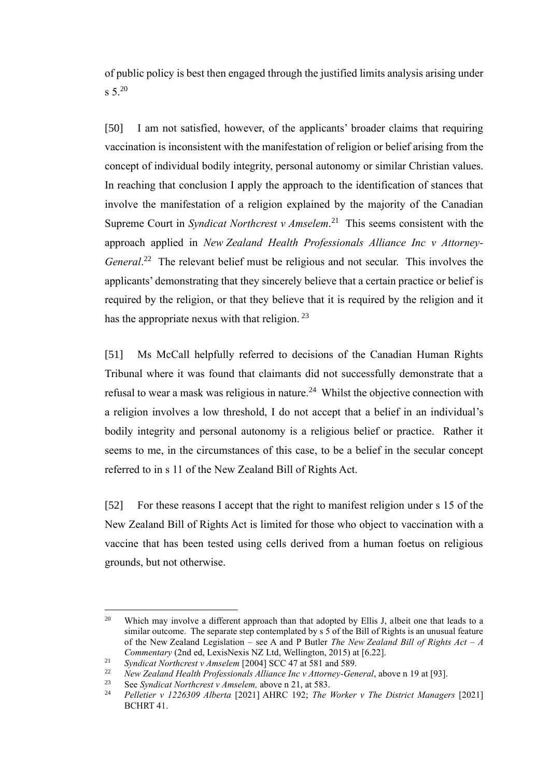<span id="page-18-1"></span>of public policy is best then engaged through the justified limits analysis arising under  $s \, 5.^{20}$ 

<span id="page-18-0"></span>[50] I am not satisfied, however, of the applicants' broader claims that requiring vaccination is inconsistent with the manifestation of religion or belief arising from the concept of individual bodily integrity, personal autonomy or similar Christian values. In reaching that conclusion I apply the approach to the identification of stances that involve the manifestation of a religion explained by the majority of the Canadian Supreme Court in *Syndicat Northcrest v Amselem*. 21 This seems consistent with the approach applied in *New Zealand Health Professionals Alliance Inc v Attorney-*General.<sup>22</sup> The relevant belief must be religious and not secular. This involves the applicants' demonstrating that they sincerely believe that a certain practice or belief is required by the religion, or that they believe that it is required by the religion and it has the appropriate nexus with that religion.  $^{23}$ 

[51] Ms McCall helpfully referred to decisions of the Canadian Human Rights Tribunal where it was found that claimants did not successfully demonstrate that a refusal to wear a mask was religious in nature.<sup>24</sup> Whilst the objective connection with a religion involves a low threshold, I do not accept that a belief in an individual's bodily integrity and personal autonomy is a religious belief or practice. Rather it seems to me, in the circumstances of this case, to be a belief in the secular concept referred to in s 11 of the New Zealand Bill of Rights Act.

[52] For these reasons I accept that the right to manifest religion under s 15 of the New Zealand Bill of Rights Act is limited for those who object to vaccination with a vaccine that has been tested using cells derived from a human foetus on religious grounds, but not otherwise.

<sup>&</sup>lt;sup>20</sup> Which may involve a different approach than that adopted by Ellis J, albeit one that leads to a similar outcome. The separate step contemplated by s 5 of the Bill of Rights is an unusual feature of the New Zealand Legislation – see A and P Butler *The New Zealand Bill of Rights Act – A Commentary* (2nd ed, LexisNexis NZ Ltd, Wellington, 2015) at [6.22].

<sup>21</sup> *Syndicat Northcrest v Amselem* [2004] SCC 47 at 581 and 589.

<sup>&</sup>lt;sup>22</sup> *New Zealand Health Professionals Alliance Inc v Attorney-General*, above [n 19](#page-17-1) at [93].<br><sup>23</sup> See Syndigat Newtherest y Amaglam, above n 21 at 583

<sup>23</sup> See *Syndicat Northcrest v Amselem*, above n [21,](#page-18-0) at 583.<br>24 Pollation v 1226300 Alberta [2021] AHPC 192: The

<sup>24</sup> *Pelletier v 1226309 Alberta* [2021] AHRC 192; *The Worker v The District Managers* [2021] BCHRT 41.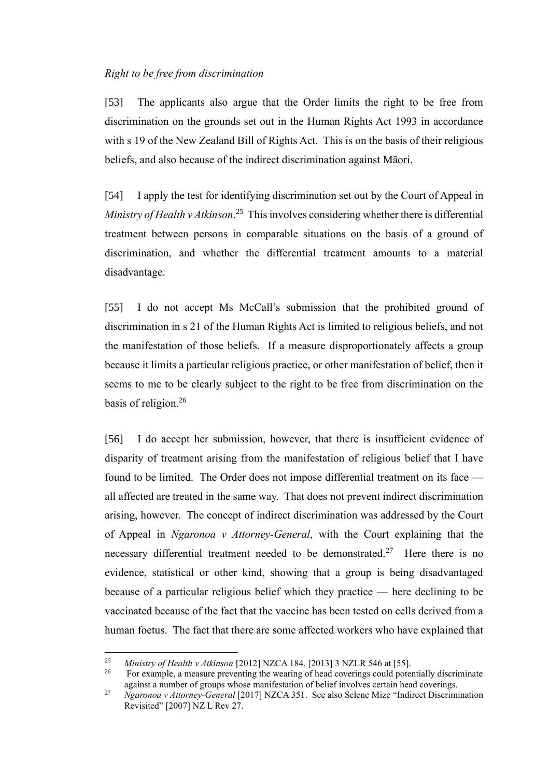## <span id="page-19-0"></span>*Right to be free from discrimination*

[53] The applicants also argue that the Order limits the right to be free from discrimination on the grounds set out in the Human Rights Act 1993 in accordance with s 19 of the New Zealand Bill of Rights Act. This is on the basis of their religious beliefs, and also because of the indirect discrimination against Māori.

<span id="page-19-1"></span>[54] I apply the test for identifying discrimination set out by the Court of Appeal in *Ministry of Health v Atkinson*. 25 This involves considering whether there is differential treatment between persons in comparable situations on the basis of a ground of discrimination, and whether the differential treatment amounts to a material disadvantage.

[55] I do not accept Ms McCall's submission that the prohibited ground of discrimination in s 21 of the Human Rights Act is limited to religious beliefs, and not the manifestation of those beliefs. If a measure disproportionately affects a group because it limits a particular religious practice, or other manifestation of belief, then it seems to me to be clearly subject to the right to be free from discrimination on the basis of religion.<sup>26</sup>

[56] I do accept her submission, however, that there is insufficient evidence of disparity of treatment arising from the manifestation of religious belief that I have found to be limited. The Order does not impose differential treatment on its face all affected are treated in the same way. That does not prevent indirect discrimination arising, however. The concept of indirect discrimination was addressed by the Court of Appeal in *Ngaronoa v Attorney-General*, with the Court explaining that the necessary differential treatment needed to be demonstrated.<sup>27</sup> Here there is no evidence, statistical or other kind, showing that a group is being disadvantaged because of a particular religious belief which they practice — here declining to be vaccinated because of the fact that the vaccine has been tested on cells derived from a human foetus. The fact that there are some affected workers who have explained that

<sup>&</sup>lt;sup>25</sup> *Ministry of Health v Atkinson* [2012] NZCA 184, [2013] 3 NZLR 546 at [55].

<sup>26</sup> For example, a measure preventing the wearing of head coverings could potentially discriminate against a number of groups whose manifestation of belief involves certain head coverings.

<sup>27</sup> *Ngaronoa v Attorney-General* [2017] NZCA 351. See also Selene Mize "Indirect Discrimination Revisited" [2007] NZ L Rev 27.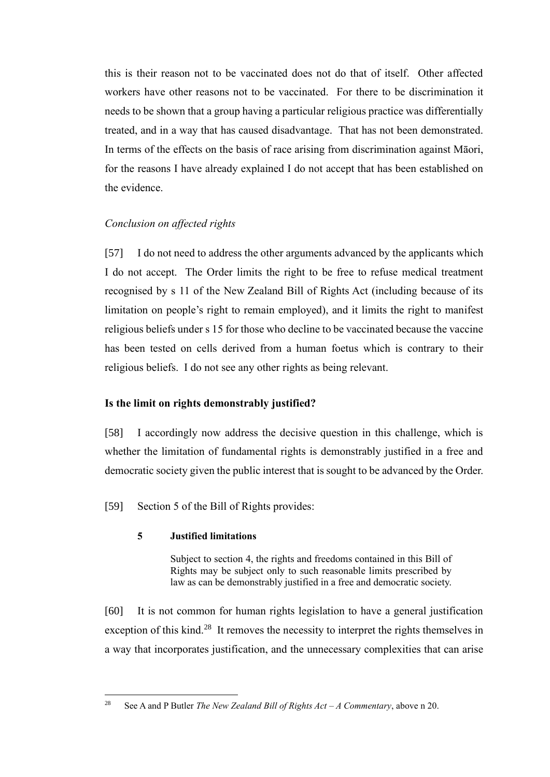this is their reason not to be vaccinated does not do that of itself. Other affected workers have other reasons not to be vaccinated. For there to be discrimination it needs to be shown that a group having a particular religious practice was differentially treated, and in a way that has caused disadvantage. That has not been demonstrated. In terms of the effects on the basis of race arising from discrimination against Māori, for the reasons I have already explained I do not accept that has been established on the evidence.

# <span id="page-20-0"></span>*Conclusion on affected rights*

[57] I do not need to address the other arguments advanced by the applicants which I do not accept. The Order limits the right to be free to refuse medical treatment recognised by s 11 of the New Zealand Bill of Rights Act (including because of its limitation on people's right to remain employed), and it limits the right to manifest religious beliefs under s 15 for those who decline to be vaccinated because the vaccine has been tested on cells derived from a human foetus which is contrary to their religious beliefs. I do not see any other rights as being relevant.

## <span id="page-20-1"></span>**Is the limit on rights demonstrably justified?**

[58] I accordingly now address the decisive question in this challenge, which is whether the limitation of fundamental rights is demonstrably justified in a free and democratic society given the public interest that is sought to be advanced by the Order.

[59] Section 5 of the Bill of Rights provides:

#### **5 Justified limitations**

Subject to section 4, the rights and freedoms contained in this Bill of Rights may be subject only to such reasonable limits prescribed by law as can be demonstrably justified in a free and democratic society.

[60] It is not common for human rights legislation to have a general justification exception of this kind.<sup>28</sup> It removes the necessity to interpret the rights themselves in a way that incorporates justification, and the unnecessary complexities that can arise

<sup>28</sup> See A and P Butler *The New Zealand Bill of Rights Act – A Commentary*, above [n 20.](#page-18-1)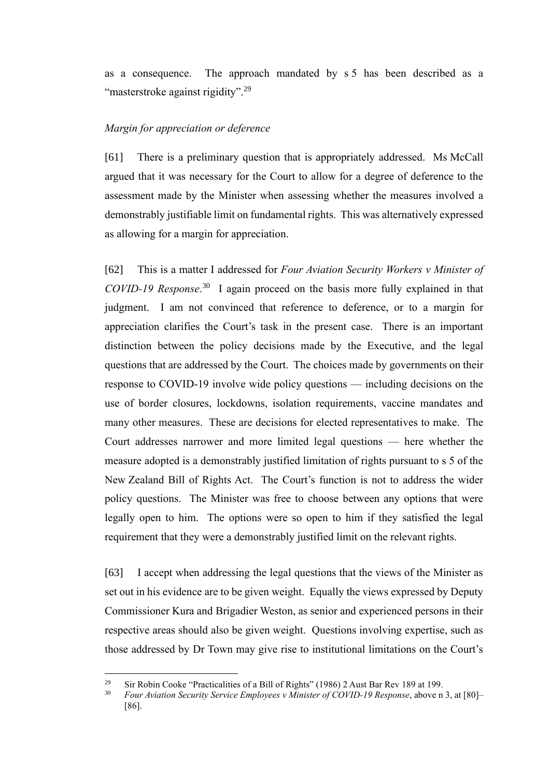as a consequence. The approach mandated by s 5 has been described as a "masterstroke against rigidity".<sup>29</sup>

#### <span id="page-21-0"></span>*Margin for appreciation or deference*

[61] There is a preliminary question that is appropriately addressed. Ms McCall argued that it was necessary for the Court to allow for a degree of deference to the assessment made by the Minister when assessing whether the measures involved a demonstrably justifiable limit on fundamental rights. This was alternatively expressed as allowing for a margin for appreciation.

[62] This is a matter I addressed for *Four Aviation Security Workers v Minister of COVID-19 Response*. 30 I again proceed on the basis more fully explained in that judgment. I am not convinced that reference to deference, or to a margin for appreciation clarifies the Court's task in the present case. There is an important distinction between the policy decisions made by the Executive, and the legal questions that are addressed by the Court. The choices made by governments on their response to COVID-19 involve wide policy questions — including decisions on the use of border closures, lockdowns, isolation requirements, vaccine mandates and many other measures. These are decisions for elected representatives to make. The Court addresses narrower and more limited legal questions — here whether the measure adopted is a demonstrably justified limitation of rights pursuant to s 5 of the New Zealand Bill of Rights Act. The Court's function is not to address the wider policy questions. The Minister was free to choose between any options that were legally open to him. The options were so open to him if they satisfied the legal requirement that they were a demonstrably justified limit on the relevant rights.

[63] I accept when addressing the legal questions that the views of the Minister as set out in his evidence are to be given weight. Equally the views expressed by Deputy Commissioner Kura and Brigadier Weston, as senior and experienced persons in their respective areas should also be given weight. Questions involving expertise, such as those addressed by Dr Town may give rise to institutional limitations on the Court's

<sup>&</sup>lt;sup>29</sup> Sir Robin Cooke "Practicalities of a Bill of Rights" (1986) 2 Aust Bar Rev 189 at 199.

<sup>30</sup> *Four Aviation Security Service Employees v Minister of COVID-19 Response*, above n [3,](#page-2-1) at [80]– [86].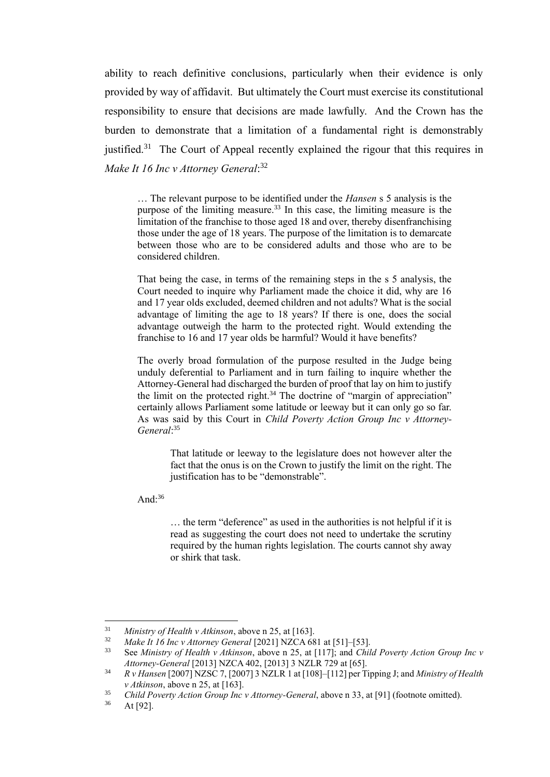ability to reach definitive conclusions, particularly when their evidence is only provided by way of affidavit. But ultimately the Court must exercise its constitutional responsibility to ensure that decisions are made lawfully. And the Crown has the burden to demonstrate that a limitation of a fundamental right is demonstrably justified.<sup>31</sup> The Court of Appeal recently explained the rigour that this requires in *Make It 16 Inc v Attorney General*: 32

<span id="page-22-0"></span>… The relevant purpose to be identified under the *Hansen* s 5 analysis is the purpose of the limiting measure.<sup>33</sup> In this case, the limiting measure is the limitation of the franchise to those aged 18 and over, thereby disenfranchising those under the age of 18 years. The purpose of the limitation is to demarcate between those who are to be considered adults and those who are to be considered children.

That being the case, in terms of the remaining steps in the s 5 analysis, the Court needed to inquire why Parliament made the choice it did, why are 16 and 17 year olds excluded, deemed children and not adults? What is the social advantage of limiting the age to 18 years? If there is one, does the social advantage outweigh the harm to the protected right. Would extending the franchise to 16 and 17 year olds be harmful? Would it have benefits?

The overly broad formulation of the purpose resulted in the Judge being unduly deferential to Parliament and in turn failing to inquire whether the Attorney-General had discharged the burden of proof that lay on him to justify the limit on the protected right.<sup>34</sup> The doctrine of "margin of appreciation" certainly allows Parliament some latitude or leeway but it can only go so far. As was said by this Court in *Child Poverty Action Group Inc v Attorney-General*: 35

> <span id="page-22-1"></span>That latitude or leeway to the legislature does not however alter the fact that the onus is on the Crown to justify the limit on the right. The justification has to be "demonstrable".

And: $36$ 

… the term "deference" as used in the authorities is not helpful if it is read as suggesting the court does not need to undertake the scrutiny required by the human rights legislation. The courts cannot shy away or shirk that task.

<sup>31</sup> *Ministry of Health v Atkinson*, above [n 25,](#page-19-1) at [163].

<sup>&</sup>lt;sup>32</sup> *Make It 16 Inc v Attorney General* [2021] NZCA 681 at [51]–[53].

<sup>33</sup> See *Ministry of Health v Atkinson*, above n [25,](#page-19-1) at [117]; and *Child Poverty Action Group Inc v Attorney-General* [2013] NZCA 402, [2013] 3 NZLR 729 at [65].

<sup>34</sup> *R v Hansen* [2007] NZSC 7, [2007] 3 NZLR 1 at [108]–[112] per Tipping J; and *Ministry of Health v Atkinson*, above n [25,](#page-19-1) at [163].

<sup>&</sup>lt;sup>35</sup> *Child Poverty Action Group Inc v Attorney-General*, above n [33,](#page-22-0) at [91] (footnote omitted).

At [92].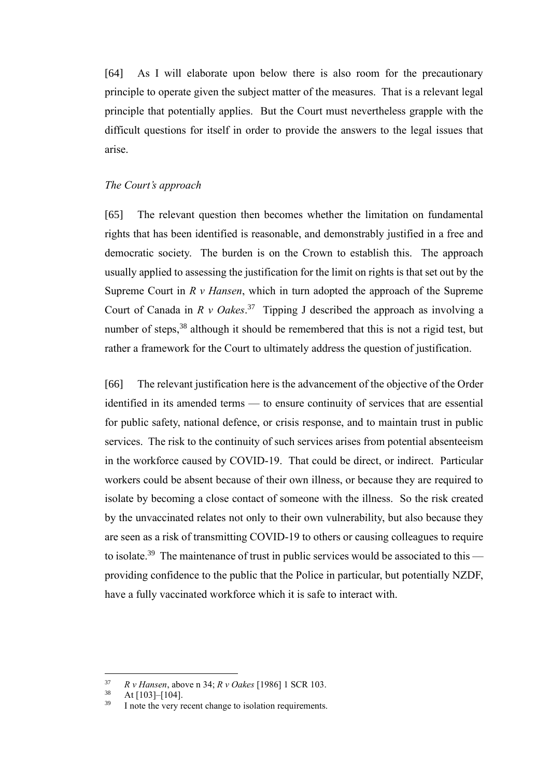[64] As I will elaborate upon below there is also room for the precautionary principle to operate given the subject matter of the measures. That is a relevant legal principle that potentially applies. But the Court must nevertheless grapple with the difficult questions for itself in order to provide the answers to the legal issues that arise.

#### <span id="page-23-0"></span>*The Court's approach*

[65] The relevant question then becomes whether the limitation on fundamental rights that has been identified is reasonable, and demonstrably justified in a free and democratic society. The burden is on the Crown to establish this. The approach usually applied to assessing the justification for the limit on rights is that set out by the Supreme Court in *R v Hansen*, which in turn adopted the approach of the Supreme Court of Canada in  $R \vee Oakes$ <sup>37</sup> Tipping J described the approach as involving a number of steps,<sup>38</sup> although it should be remembered that this is not a rigid test, but rather a framework for the Court to ultimately address the question of justification.

[66] The relevant justification here is the advancement of the objective of the Order identified in its amended terms — to ensure continuity of services that are essential for public safety, national defence, or crisis response, and to maintain trust in public services. The risk to the continuity of such services arises from potential absenteeism in the workforce caused by COVID-19. That could be direct, or indirect. Particular workers could be absent because of their own illness, or because they are required to isolate by becoming a close contact of someone with the illness. So the risk created by the unvaccinated relates not only to their own vulnerability, but also because they are seen as a risk of transmitting COVID-19 to others or causing colleagues to require to isolate.<sup>39</sup> The maintenance of trust in public services would be associated to this providing confidence to the public that the Police in particular, but potentially NZDF, have a fully vaccinated workforce which it is safe to interact with.

<sup>37</sup> *R v Hansen*, above [n 34;](#page-22-1) *R v Oakes* [1986] 1 SCR 103.

At [103]–[104].

I note the very recent change to isolation requirements.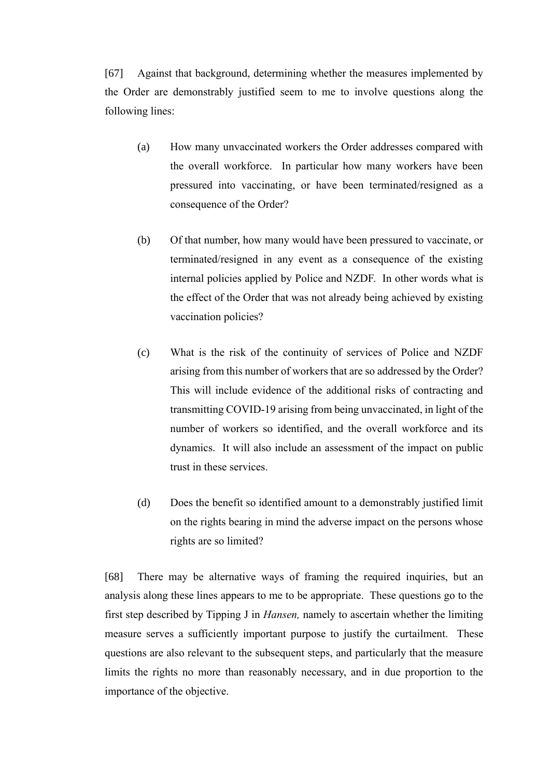[67] Against that background, determining whether the measures implemented by the Order are demonstrably justified seem to me to involve questions along the following lines:

- (a) How many unvaccinated workers the Order addresses compared with the overall workforce. In particular how many workers have been pressured into vaccinating, or have been terminated/resigned as a consequence of the Order?
- (b) Of that number, how many would have been pressured to vaccinate, or terminated/resigned in any event as a consequence of the existing internal policies applied by Police and NZDF. In other words what is the effect of the Order that was not already being achieved by existing vaccination policies?
- (c) What is the risk of the continuity of services of Police and NZDF arising from this number of workers that are so addressed by the Order? This will include evidence of the additional risks of contracting and transmitting COVID-19 arising from being unvaccinated, in light of the number of workers so identified, and the overall workforce and its dynamics. It will also include an assessment of the impact on public trust in these services.
- (d) Does the benefit so identified amount to a demonstrably justified limit on the rights bearing in mind the adverse impact on the persons whose rights are so limited?

[68] There may be alternative ways of framing the required inquiries, but an analysis along these lines appears to me to be appropriate. These questions go to the first step described by Tipping J in *Hansen,* namely to ascertain whether the limiting measure serves a sufficiently important purpose to justify the curtailment. These questions are also relevant to the subsequent steps, and particularly that the measure limits the rights no more than reasonably necessary, and in due proportion to the importance of the objective.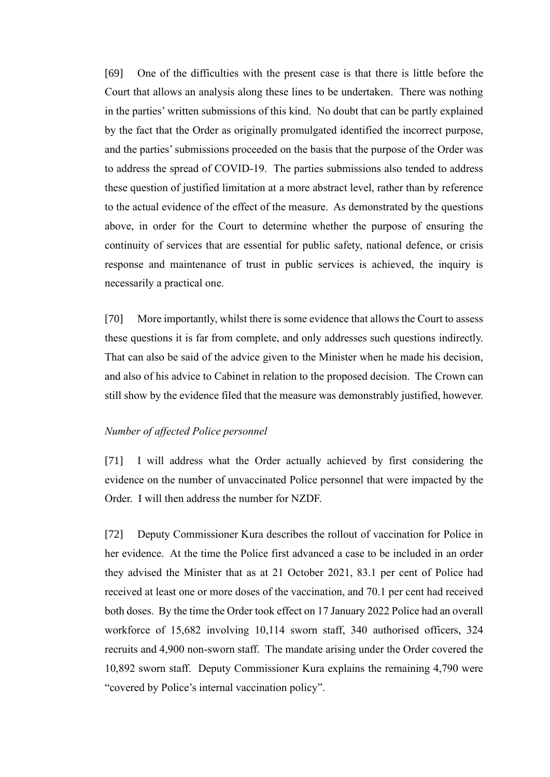[69] One of the difficulties with the present case is that there is little before the Court that allows an analysis along these lines to be undertaken. There was nothing in the parties' written submissions of this kind. No doubt that can be partly explained by the fact that the Order as originally promulgated identified the incorrect purpose, and the parties' submissions proceeded on the basis that the purpose of the Order was to address the spread of COVID-19. The parties submissions also tended to address these question of justified limitation at a more abstract level, rather than by reference to the actual evidence of the effect of the measure. As demonstrated by the questions above, in order for the Court to determine whether the purpose of ensuring the continuity of services that are essential for public safety, national defence, or crisis response and maintenance of trust in public services is achieved, the inquiry is necessarily a practical one.

[70] More importantly, whilst there is some evidence that allows the Court to assess these questions it is far from complete, and only addresses such questions indirectly. That can also be said of the advice given to the Minister when he made his decision, and also of his advice to Cabinet in relation to the proposed decision. The Crown can still show by the evidence filed that the measure was demonstrably justified, however.

#### <span id="page-25-0"></span>*Number of affected Police personnel*

[71] I will address what the Order actually achieved by first considering the evidence on the number of unvaccinated Police personnel that were impacted by the Order. I will then address the number for NZDF.

[72] Deputy Commissioner Kura describes the rollout of vaccination for Police in her evidence. At the time the Police first advanced a case to be included in an order they advised the Minister that as at 21 October 2021, 83.1 per cent of Police had received at least one or more doses of the vaccination, and 70.1 per cent had received both doses. By the time the Order took effect on 17 January 2022 Police had an overall workforce of 15,682 involving 10,114 sworn staff, 340 authorised officers, 324 recruits and 4,900 non-sworn staff. The mandate arising under the Order covered the 10,892 sworn staff. Deputy Commissioner Kura explains the remaining 4,790 were "covered by Police's internal vaccination policy".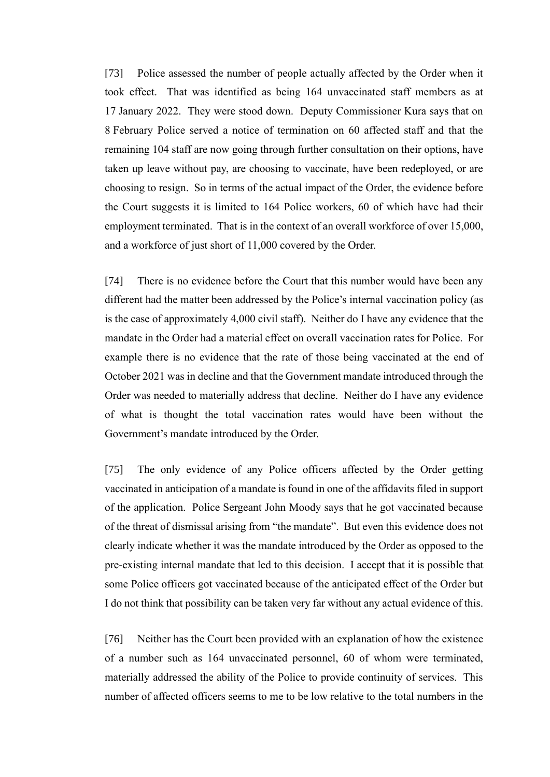[73] Police assessed the number of people actually affected by the Order when it took effect. That was identified as being 164 unvaccinated staff members as at 17 January 2022. They were stood down. Deputy Commissioner Kura says that on 8 February Police served a notice of termination on 60 affected staff and that the remaining 104 staff are now going through further consultation on their options, have taken up leave without pay, are choosing to vaccinate, have been redeployed, or are choosing to resign. So in terms of the actual impact of the Order, the evidence before the Court suggests it is limited to 164 Police workers, 60 of which have had their employment terminated. That is in the context of an overall workforce of over 15,000, and a workforce of just short of 11,000 covered by the Order.

[74] There is no evidence before the Court that this number would have been any different had the matter been addressed by the Police's internal vaccination policy (as is the case of approximately 4,000 civil staff). Neither do I have any evidence that the mandate in the Order had a material effect on overall vaccination rates for Police. For example there is no evidence that the rate of those being vaccinated at the end of October 2021 was in decline and that the Government mandate introduced through the Order was needed to materially address that decline. Neither do I have any evidence of what is thought the total vaccination rates would have been without the Government's mandate introduced by the Order.

[75] The only evidence of any Police officers affected by the Order getting vaccinated in anticipation of a mandate is found in one of the affidavits filed in support of the application. Police Sergeant John Moody says that he got vaccinated because of the threat of dismissal arising from "the mandate". But even this evidence does not clearly indicate whether it was the mandate introduced by the Order as opposed to the pre-existing internal mandate that led to this decision. I accept that it is possible that some Police officers got vaccinated because of the anticipated effect of the Order but I do not think that possibility can be taken very far without any actual evidence of this.

[76] Neither has the Court been provided with an explanation of how the existence of a number such as 164 unvaccinated personnel, 60 of whom were terminated, materially addressed the ability of the Police to provide continuity of services. This number of affected officers seems to me to be low relative to the total numbers in the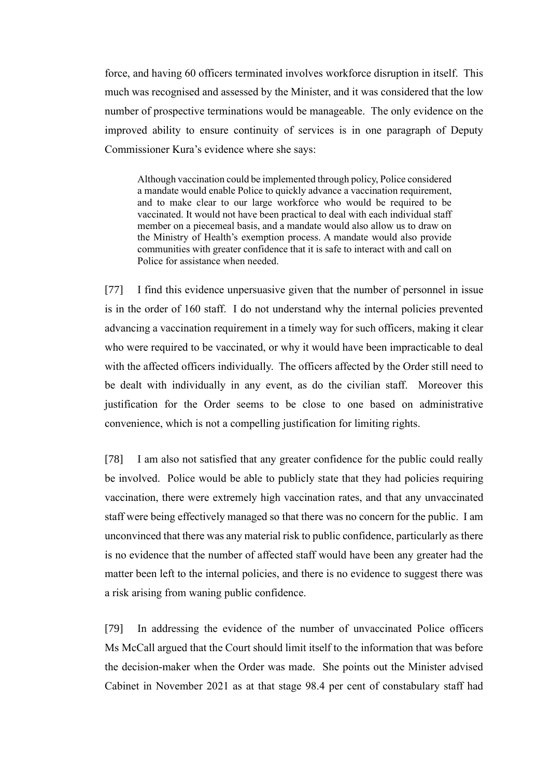force, and having 60 officers terminated involves workforce disruption in itself. This much was recognised and assessed by the Minister, and it was considered that the low number of prospective terminations would be manageable. The only evidence on the improved ability to ensure continuity of services is in one paragraph of Deputy Commissioner Kura's evidence where she says:

Although vaccination could be implemented through policy, Police considered a mandate would enable Police to quickly advance a vaccination requirement, and to make clear to our large workforce who would be required to be vaccinated. It would not have been practical to deal with each individual staff member on a piecemeal basis, and a mandate would also allow us to draw on the Ministry of Health's exemption process. A mandate would also provide communities with greater confidence that it is safe to interact with and call on Police for assistance when needed.

[77] I find this evidence unpersuasive given that the number of personnel in issue is in the order of 160 staff. I do not understand why the internal policies prevented advancing a vaccination requirement in a timely way for such officers, making it clear who were required to be vaccinated, or why it would have been impracticable to deal with the affected officers individually. The officers affected by the Order still need to be dealt with individually in any event, as do the civilian staff. Moreover this justification for the Order seems to be close to one based on administrative convenience, which is not a compelling justification for limiting rights.

[78] I am also not satisfied that any greater confidence for the public could really be involved. Police would be able to publicly state that they had policies requiring vaccination, there were extremely high vaccination rates, and that any unvaccinated staff were being effectively managed so that there was no concern for the public. I am unconvinced that there was any material risk to public confidence, particularly as there is no evidence that the number of affected staff would have been any greater had the matter been left to the internal policies, and there is no evidence to suggest there was a risk arising from waning public confidence.

[79] In addressing the evidence of the number of unvaccinated Police officers Ms McCall argued that the Court should limit itself to the information that was before the decision-maker when the Order was made. She points out the Minister advised Cabinet in November 2021 as at that stage 98.4 per cent of constabulary staff had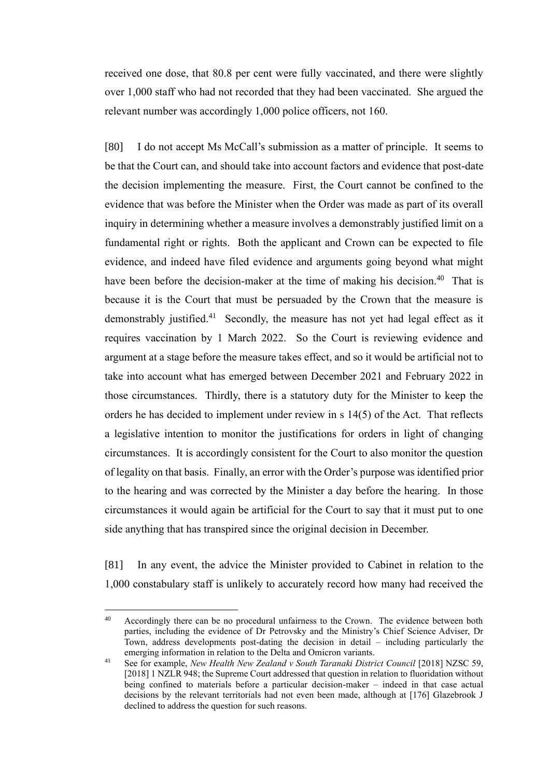received one dose, that 80.8 per cent were fully vaccinated, and there were slightly over 1,000 staff who had not recorded that they had been vaccinated. She argued the relevant number was accordingly 1,000 police officers, not 160.

[80] I do not accept Ms McCall's submission as a matter of principle. It seems to be that the Court can, and should take into account factors and evidence that post-date the decision implementing the measure. First, the Court cannot be confined to the evidence that was before the Minister when the Order was made as part of its overall inquiry in determining whether a measure involves a demonstrably justified limit on a fundamental right or rights. Both the applicant and Crown can be expected to file evidence, and indeed have filed evidence and arguments going beyond what might have been before the decision-maker at the time of making his decision.<sup>40</sup> That is because it is the Court that must be persuaded by the Crown that the measure is demonstrably justified.<sup>41</sup> Secondly, the measure has not yet had legal effect as it requires vaccination by 1 March 2022. So the Court is reviewing evidence and argument at a stage before the measure takes effect, and so it would be artificial not to take into account what has emerged between December 2021 and February 2022 in those circumstances. Thirdly, there is a statutory duty for the Minister to keep the orders he has decided to implement under review in s 14(5) of the Act. That reflects a legislative intention to monitor the justifications for orders in light of changing circumstances. It is accordingly consistent for the Court to also monitor the question of legality on that basis. Finally, an error with the Order's purpose was identified prior to the hearing and was corrected by the Minister a day before the hearing. In those circumstances it would again be artificial for the Court to say that it must put to one side anything that has transpired since the original decision in December.

[81] In any event, the advice the Minister provided to Cabinet in relation to the 1,000 constabulary staff is unlikely to accurately record how many had received the

<sup>&</sup>lt;sup>40</sup> Accordingly there can be no procedural unfairness to the Crown. The evidence between both parties, including the evidence of Dr Petrovsky and the Ministry's Chief Science Adviser, Dr Town, address developments post-dating the decision in detail – including particularly the emerging information in relation to the Delta and Omicron variants.

<sup>&</sup>lt;sup>41</sup> See for example, *New Health New Zealand v South Taranaki District Council* [2018] NZSC 59, [2018] 1 NZLR 948; the Supreme Court addressed that question in relation to fluoridation without being confined to materials before a particular decision-maker – indeed in that case actual decisions by the relevant territorials had not even been made, although at [176] Glazebrook J declined to address the question for such reasons.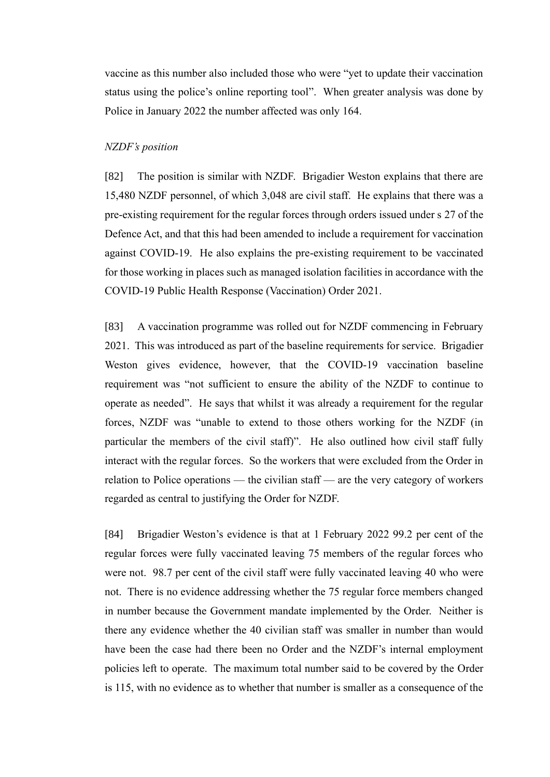vaccine as this number also included those who were "yet to update their vaccination status using the police's online reporting tool". When greater analysis was done by Police in January 2022 the number affected was only 164.

#### <span id="page-29-0"></span>*NZDF's position*

[82] The position is similar with NZDF. Brigadier Weston explains that there are 15,480 NZDF personnel, of which 3,048 are civil staff. He explains that there was a pre-existing requirement for the regular forces through orders issued under s 27 of the Defence Act, and that this had been amended to include a requirement for vaccination against COVID-19. He also explains the pre-existing requirement to be vaccinated for those working in places such as managed isolation facilities in accordance with the COVID-19 Public Health Response (Vaccination) Order 2021.

[83] A vaccination programme was rolled out for NZDF commencing in February 2021. This was introduced as part of the baseline requirements for service. Brigadier Weston gives evidence, however, that the COVID-19 vaccination baseline requirement was "not sufficient to ensure the ability of the NZDF to continue to operate as needed". He says that whilst it was already a requirement for the regular forces, NZDF was "unable to extend to those others working for the NZDF (in particular the members of the civil staff)". He also outlined how civil staff fully interact with the regular forces. So the workers that were excluded from the Order in relation to Police operations — the civilian staff — are the very category of workers regarded as central to justifying the Order for NZDF.

[84] Brigadier Weston's evidence is that at 1 February 2022 99.2 per cent of the regular forces were fully vaccinated leaving 75 members of the regular forces who were not. 98.7 per cent of the civil staff were fully vaccinated leaving 40 who were not. There is no evidence addressing whether the 75 regular force members changed in number because the Government mandate implemented by the Order. Neither is there any evidence whether the 40 civilian staff was smaller in number than would have been the case had there been no Order and the NZDF's internal employment policies left to operate. The maximum total number said to be covered by the Order is 115, with no evidence as to whether that number is smaller as a consequence of the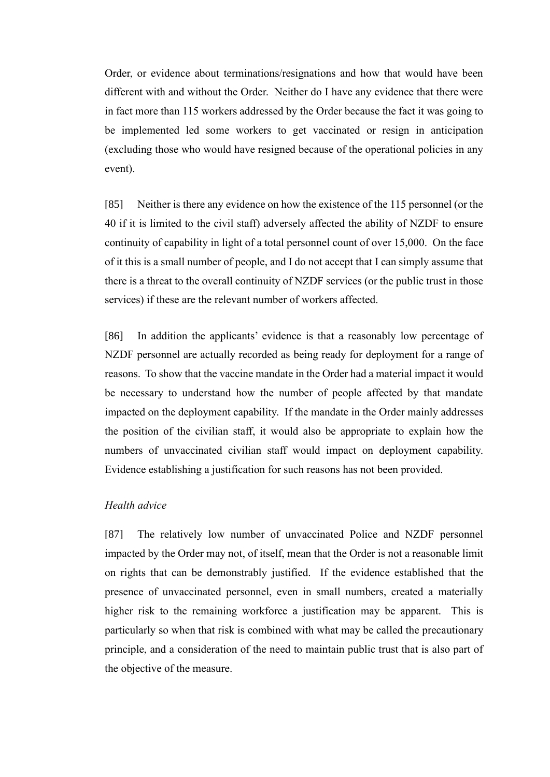Order, or evidence about terminations/resignations and how that would have been different with and without the Order. Neither do I have any evidence that there were in fact more than 115 workers addressed by the Order because the fact it was going to be implemented led some workers to get vaccinated or resign in anticipation (excluding those who would have resigned because of the operational policies in any event).

[85] Neither is there any evidence on how the existence of the 115 personnel (or the 40 if it is limited to the civil staff) adversely affected the ability of NZDF to ensure continuity of capability in light of a total personnel count of over 15,000. On the face of it this is a small number of people, and I do not accept that I can simply assume that there is a threat to the overall continuity of NZDF services (or the public trust in those services) if these are the relevant number of workers affected.

[86] In addition the applicants' evidence is that a reasonably low percentage of NZDF personnel are actually recorded as being ready for deployment for a range of reasons. To show that the vaccine mandate in the Order had a material impact it would be necessary to understand how the number of people affected by that mandate impacted on the deployment capability. If the mandate in the Order mainly addresses the position of the civilian staff, it would also be appropriate to explain how the numbers of unvaccinated civilian staff would impact on deployment capability. Evidence establishing a justification for such reasons has not been provided.

## <span id="page-30-0"></span>*Health advice*

[87] The relatively low number of unvaccinated Police and NZDF personnel impacted by the Order may not, of itself, mean that the Order is not a reasonable limit on rights that can be demonstrably justified. If the evidence established that the presence of unvaccinated personnel, even in small numbers, created a materially higher risk to the remaining workforce a justification may be apparent. This is particularly so when that risk is combined with what may be called the precautionary principle, and a consideration of the need to maintain public trust that is also part of the objective of the measure.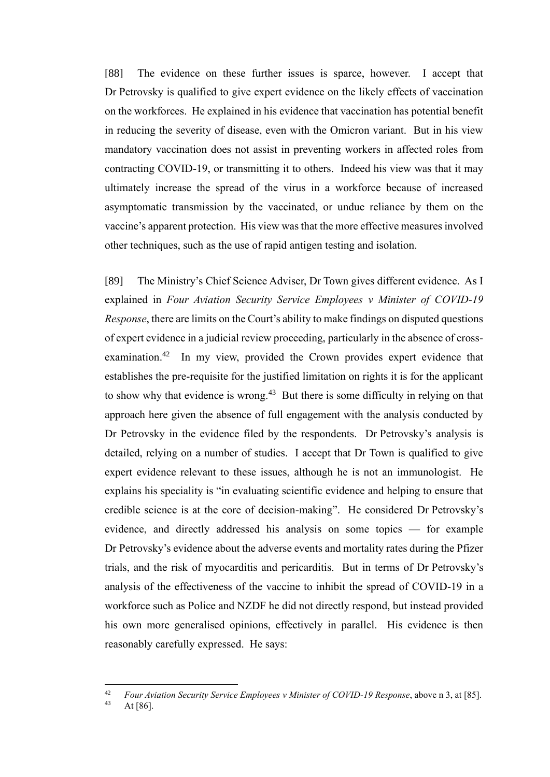[88] The evidence on these further issues is sparce, however. I accept that Dr Petrovsky is qualified to give expert evidence on the likely effects of vaccination on the workforces. He explained in his evidence that vaccination has potential benefit in reducing the severity of disease, even with the Omicron variant. But in his view mandatory vaccination does not assist in preventing workers in affected roles from contracting COVID-19, or transmitting it to others. Indeed his view was that it may ultimately increase the spread of the virus in a workforce because of increased asymptomatic transmission by the vaccinated, or undue reliance by them on the vaccine's apparent protection. His view was that the more effective measures involved other techniques, such as the use of rapid antigen testing and isolation.

[89] The Ministry's Chief Science Adviser, Dr Town gives different evidence. As I explained in *Four Aviation Security Service Employees v Minister of COVID-19 Response*, there are limits on the Court's ability to make findings on disputed questions of expert evidence in a judicial review proceeding, particularly in the absence of crossexamination.<sup>42</sup> In my view, provided the Crown provides expert evidence that establishes the pre-requisite for the justified limitation on rights it is for the applicant to show why that evidence is wrong.<sup>43</sup> But there is some difficulty in relying on that approach here given the absence of full engagement with the analysis conducted by Dr Petrovsky in the evidence filed by the respondents. Dr Petrovsky's analysis is detailed, relying on a number of studies. I accept that Dr Town is qualified to give expert evidence relevant to these issues, although he is not an immunologist. He explains his speciality is "in evaluating scientific evidence and helping to ensure that credible science is at the core of decision-making". He considered Dr Petrovsky's evidence, and directly addressed his analysis on some topics — for example Dr Petrovsky's evidence about the adverse events and mortality rates during the Pfizer trials, and the risk of myocarditis and pericarditis. But in terms of Dr Petrovsky's analysis of the effectiveness of the vaccine to inhibit the spread of COVID-19 in a workforce such as Police and NZDF he did not directly respond, but instead provided his own more generalised opinions, effectively in parallel. His evidence is then reasonably carefully expressed. He says:

<sup>42</sup> *Four Aviation Security Service Employees v Minister of COVID-19 Response*, above [n 3,](#page-2-1) at [85].

At  $[86]$ .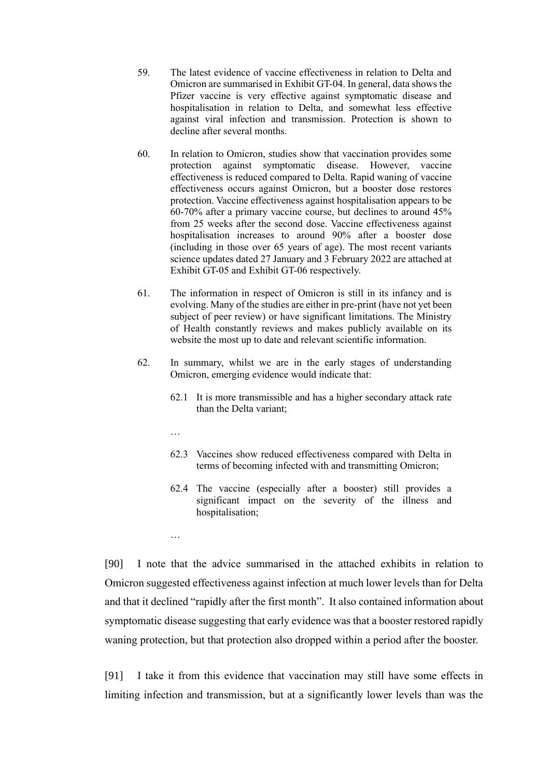- 59. The latest evidence of vaccine effectiveness in relation to Delta and Omicron are summarised in Exhibit GT-04. In general, data shows the Pfizer vaccine is very effective against symptomatic disease and hospitalisation in relation to Delta, and somewhat less effective against viral infection and transmission. Protection is shown to decline after several months.
- 60. In relation to Omicron, studies show that vaccination provides some protection against symptomatic disease. However, vaccine effectiveness is reduced compared to Delta. Rapid waning of vaccine effectiveness occurs against Omicron, but a booster dose restores protection. Vaccine effectiveness against hospitalisation appears to be 60-70% after a primary vaccine course, but declines to around 45% from 25 weeks after the second dose. Vaccine effectiveness against hospitalisation increases to around 90% after a booster dose (including in those over 65 years of age). The most recent variants science updates dated 27 January and 3 February 2022 are attached at Exhibit GT-05 and Exhibit GT-06 respectively.
- 61. The information in respect of Omicron is still in its infancy and is evolving. Many of the studies are either in pre-print (have not yet been subject of peer review) or have significant limitations. The Ministry of Health constantly reviews and makes publicly available on its website the most up to date and relevant scientific information.
- 62. In summary, whilst we are in the early stages of understanding Omicron, emerging evidence would indicate that:
	- 62.1 It is more transmissible and has a higher secondary attack rate than the Delta variant;
	- …

…

- 62.3 Vaccines show reduced effectiveness compared with Delta in terms of becoming infected with and transmitting Omicron;
- 62.4 The vaccine (especially after a booster) still provides a significant impact on the severity of the illness and hospitalisation;

[90] I note that the advice summarised in the attached exhibits in relation to Omicron suggested effectiveness against infection at much lower levels than for Delta and that it declined "rapidly after the first month". It also contained information about symptomatic disease suggesting that early evidence was that a booster restored rapidly waning protection, but that protection also dropped within a period after the booster.

[91] I take it from this evidence that vaccination may still have some effects in limiting infection and transmission, but at a significantly lower levels than was the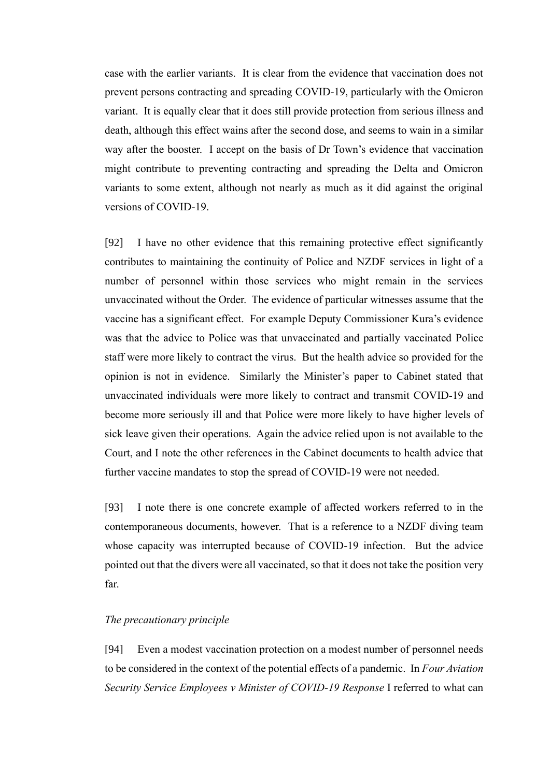case with the earlier variants. It is clear from the evidence that vaccination does not prevent persons contracting and spreading COVID-19, particularly with the Omicron variant. It is equally clear that it does still provide protection from serious illness and death, although this effect wains after the second dose, and seems to wain in a similar way after the booster. I accept on the basis of Dr Town's evidence that vaccination might contribute to preventing contracting and spreading the Delta and Omicron variants to some extent, although not nearly as much as it did against the original versions of COVID-19.

[92] I have no other evidence that this remaining protective effect significantly contributes to maintaining the continuity of Police and NZDF services in light of a number of personnel within those services who might remain in the services unvaccinated without the Order. The evidence of particular witnesses assume that the vaccine has a significant effect. For example Deputy Commissioner Kura's evidence was that the advice to Police was that unvaccinated and partially vaccinated Police staff were more likely to contract the virus. But the health advice so provided for the opinion is not in evidence. Similarly the Minister's paper to Cabinet stated that unvaccinated individuals were more likely to contract and transmit COVID-19 and become more seriously ill and that Police were more likely to have higher levels of sick leave given their operations. Again the advice relied upon is not available to the Court, and I note the other references in the Cabinet documents to health advice that further vaccine mandates to stop the spread of COVID-19 were not needed.

[93] I note there is one concrete example of affected workers referred to in the contemporaneous documents, however. That is a reference to a NZDF diving team whose capacity was interrupted because of COVID-19 infection. But the advice pointed out that the divers were all vaccinated, so that it does not take the position very far.

## <span id="page-33-0"></span>*The precautionary principle*

[94] Even a modest vaccination protection on a modest number of personnel needs to be considered in the context of the potential effects of a pandemic. In *Four Aviation Security Service Employees v Minister of COVID-19 Response* I referred to what can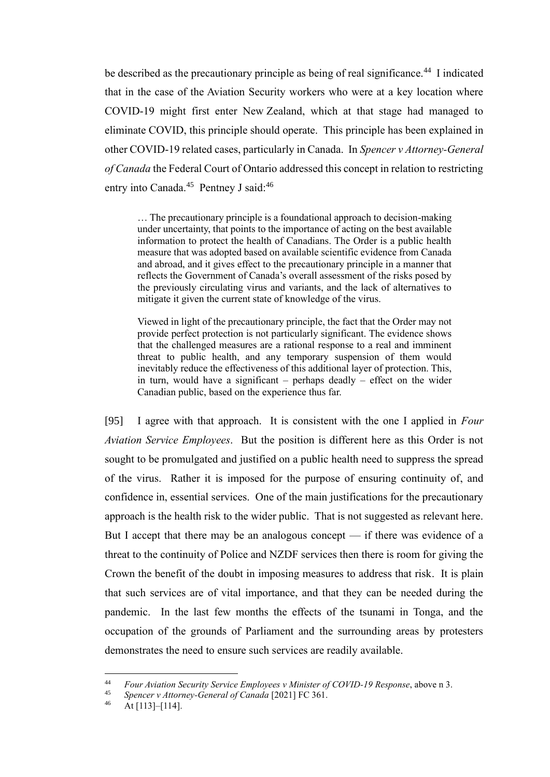be described as the precautionary principle as being of real significance.<sup>44</sup> I indicated that in the case of the Aviation Security workers who were at a key location where COVID-19 might first enter New Zealand, which at that stage had managed to eliminate COVID, this principle should operate. This principle has been explained in other COVID-19 related cases, particularly in Canada. In *Spencer v Attorney-General of Canada* the Federal Court of Ontario addressed this concept in relation to restricting entry into Canada.<sup>45</sup> Pentney J said:<sup>46</sup>

… The precautionary principle is a foundational approach to decision-making under uncertainty, that points to the importance of acting on the best available information to protect the health of Canadians. The Order is a public health measure that was adopted based on available scientific evidence from Canada and abroad, and it gives effect to the precautionary principle in a manner that reflects the Government of Canada's overall assessment of the risks posed by the previously circulating virus and variants, and the lack of alternatives to mitigate it given the current state of knowledge of the virus.

Viewed in light of the precautionary principle, the fact that the Order may not provide perfect protection is not particularly significant. The evidence shows that the challenged measures are a rational response to a real and imminent threat to public health, and any temporary suspension of them would inevitably reduce the effectiveness of this additional layer of protection. This, in turn, would have a significant – perhaps deadly – effect on the wider Canadian public, based on the experience thus far.

[95] I agree with that approach. It is consistent with the one I applied in *Four Aviation Service Employees*. But the position is different here as this Order is not sought to be promulgated and justified on a public health need to suppress the spread of the virus. Rather it is imposed for the purpose of ensuring continuity of, and confidence in, essential services. One of the main justifications for the precautionary approach is the health risk to the wider public. That is not suggested as relevant here. But I accept that there may be an analogous concept — if there was evidence of a threat to the continuity of Police and NZDF services then there is room for giving the Crown the benefit of the doubt in imposing measures to address that risk. It is plain that such services are of vital importance, and that they can be needed during the pandemic. In the last few months the effects of the tsunami in Tonga, and the occupation of the grounds of Parliament and the surrounding areas by protesters demonstrates the need to ensure such services are readily available.

<sup>44</sup> *Four Aviation Security Service Employees v Minister of COVID-19 Response*, above [n 3.](#page-2-1)

<sup>45</sup> *Spencer v Attorney-General of Canada* [2021] FC 361.

<sup>46</sup> At [113]–[114].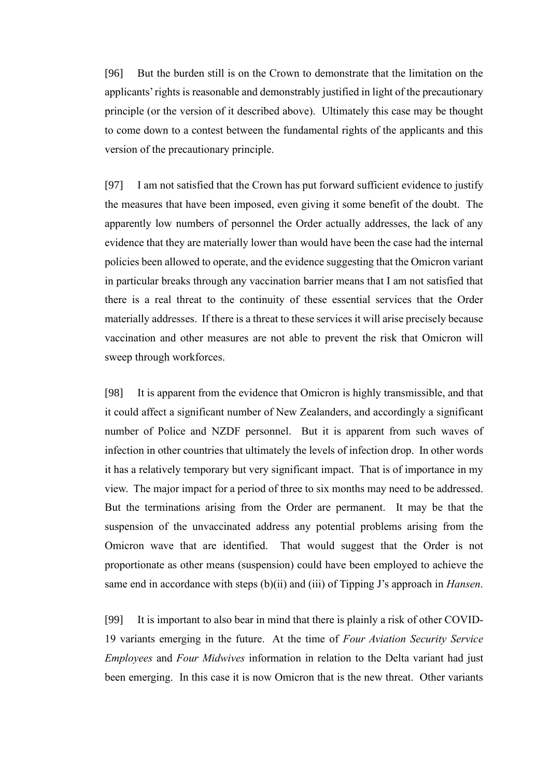[96] But the burden still is on the Crown to demonstrate that the limitation on the applicants' rights is reasonable and demonstrably justified in light of the precautionary principle (or the version of it described above). Ultimately this case may be thought to come down to a contest between the fundamental rights of the applicants and this version of the precautionary principle.

[97] I am not satisfied that the Crown has put forward sufficient evidence to justify the measures that have been imposed, even giving it some benefit of the doubt. The apparently low numbers of personnel the Order actually addresses, the lack of any evidence that they are materially lower than would have been the case had the internal policies been allowed to operate, and the evidence suggesting that the Omicron variant in particular breaks through any vaccination barrier means that I am not satisfied that there is a real threat to the continuity of these essential services that the Order materially addresses. If there is a threat to these services it will arise precisely because vaccination and other measures are not able to prevent the risk that Omicron will sweep through workforces.

[98] It is apparent from the evidence that Omicron is highly transmissible, and that it could affect a significant number of New Zealanders, and accordingly a significant number of Police and NZDF personnel. But it is apparent from such waves of infection in other countries that ultimately the levels of infection drop. In other words it has a relatively temporary but very significant impact. That is of importance in my view. The major impact for a period of three to six months may need to be addressed. But the terminations arising from the Order are permanent. It may be that the suspension of the unvaccinated address any potential problems arising from the Omicron wave that are identified. That would suggest that the Order is not proportionate as other means (suspension) could have been employed to achieve the same end in accordance with steps (b)(ii) and (iii) of Tipping J's approach in *Hansen*.

[99] It is important to also bear in mind that there is plainly a risk of other COVID-19 variants emerging in the future. At the time of *Four Aviation Security Service Employees* and *Four Midwives* information in relation to the Delta variant had just been emerging. In this case it is now Omicron that is the new threat. Other variants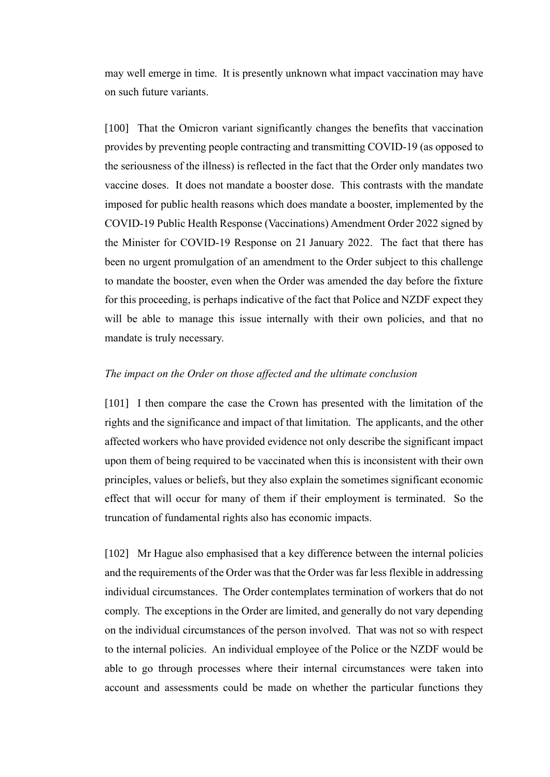may well emerge in time. It is presently unknown what impact vaccination may have on such future variants.

[100] That the Omicron variant significantly changes the benefits that vaccination provides by preventing people contracting and transmitting COVID-19 (as opposed to the seriousness of the illness) is reflected in the fact that the Order only mandates two vaccine doses. It does not mandate a booster dose. This contrasts with the mandate imposed for public health reasons which does mandate a booster, implemented by the COVID-19 Public Health Response (Vaccinations) Amendment Order 2022 signed by the Minister for COVID-19 Response on 21 January 2022. The fact that there has been no urgent promulgation of an amendment to the Order subject to this challenge to mandate the booster, even when the Order was amended the day before the fixture for this proceeding, is perhaps indicative of the fact that Police and NZDF expect they will be able to manage this issue internally with their own policies, and that no mandate is truly necessary.

### <span id="page-36-0"></span>*The impact on the Order on those affected and the ultimate conclusion*

[101] I then compare the case the Crown has presented with the limitation of the rights and the significance and impact of that limitation. The applicants, and the other affected workers who have provided evidence not only describe the significant impact upon them of being required to be vaccinated when this is inconsistent with their own principles, values or beliefs, but they also explain the sometimes significant economic effect that will occur for many of them if their employment is terminated. So the truncation of fundamental rights also has economic impacts.

[102] Mr Hague also emphasised that a key difference between the internal policies and the requirements of the Order was that the Order was far less flexible in addressing individual circumstances. The Order contemplates termination of workers that do not comply. The exceptions in the Order are limited, and generally do not vary depending on the individual circumstances of the person involved. That was not so with respect to the internal policies. An individual employee of the Police or the NZDF would be able to go through processes where their internal circumstances were taken into account and assessments could be made on whether the particular functions they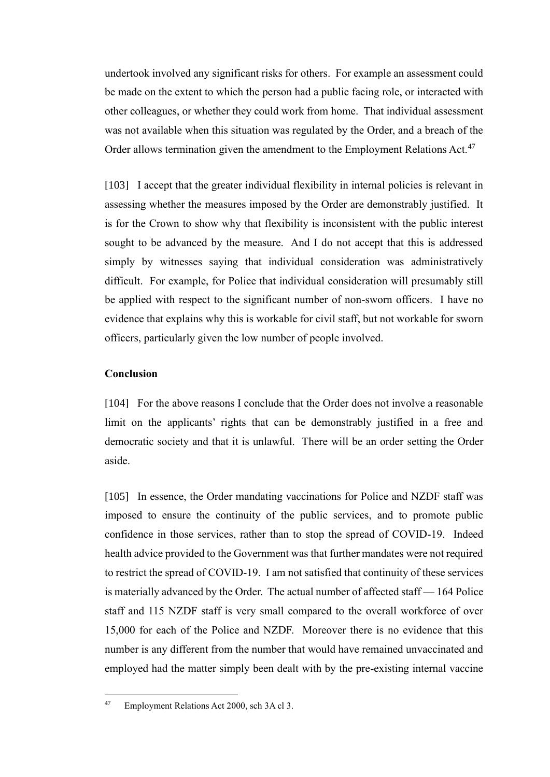undertook involved any significant risks for others. For example an assessment could be made on the extent to which the person had a public facing role, or interacted with other colleagues, or whether they could work from home. That individual assessment was not available when this situation was regulated by the Order, and a breach of the Order allows termination given the amendment to the Employment Relations Act.<sup>47</sup>

[103] I accept that the greater individual flexibility in internal policies is relevant in assessing whether the measures imposed by the Order are demonstrably justified. It is for the Crown to show why that flexibility is inconsistent with the public interest sought to be advanced by the measure. And I do not accept that this is addressed simply by witnesses saying that individual consideration was administratively difficult. For example, for Police that individual consideration will presumably still be applied with respect to the significant number of non-sworn officers. I have no evidence that explains why this is workable for civil staff, but not workable for sworn officers, particularly given the low number of people involved.

# <span id="page-37-0"></span>**Conclusion**

[104] For the above reasons I conclude that the Order does not involve a reasonable limit on the applicants' rights that can be demonstrably justified in a free and democratic society and that it is unlawful. There will be an order setting the Order aside.

[105] In essence, the Order mandating vaccinations for Police and NZDF staff was imposed to ensure the continuity of the public services, and to promote public confidence in those services, rather than to stop the spread of COVID-19. Indeed health advice provided to the Government was that further mandates were not required to restrict the spread of COVID-19. I am not satisfied that continuity of these services is materially advanced by the Order. The actual number of affected staff — 164 Police staff and 115 NZDF staff is very small compared to the overall workforce of over 15,000 for each of the Police and NZDF. Moreover there is no evidence that this number is any different from the number that would have remained unvaccinated and employed had the matter simply been dealt with by the pre-existing internal vaccine

<sup>47</sup> Employment Relations Act 2000, sch 3A cl 3.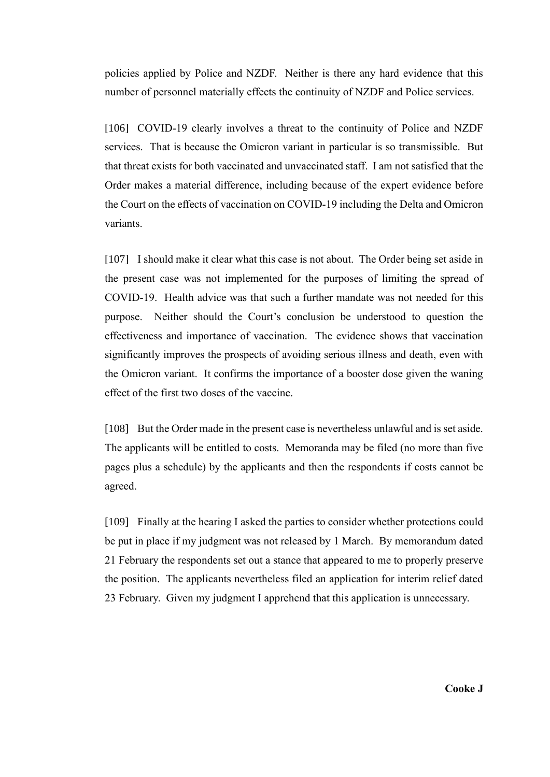policies applied by Police and NZDF. Neither is there any hard evidence that this number of personnel materially effects the continuity of NZDF and Police services.

[106] COVID-19 clearly involves a threat to the continuity of Police and NZDF services. That is because the Omicron variant in particular is so transmissible. But that threat exists for both vaccinated and unvaccinated staff. I am not satisfied that the Order makes a material difference, including because of the expert evidence before the Court on the effects of vaccination on COVID-19 including the Delta and Omicron variants.

[107] I should make it clear what this case is not about. The Order being set aside in the present case was not implemented for the purposes of limiting the spread of COVID-19. Health advice was that such a further mandate was not needed for this purpose. Neither should the Court's conclusion be understood to question the effectiveness and importance of vaccination. The evidence shows that vaccination significantly improves the prospects of avoiding serious illness and death, even with the Omicron variant. It confirms the importance of a booster dose given the waning effect of the first two doses of the vaccine.

[108] But the Order made in the present case is nevertheless unlawful and is set aside. The applicants will be entitled to costs. Memoranda may be filed (no more than five pages plus a schedule) by the applicants and then the respondents if costs cannot be agreed.

[109] Finally at the hearing I asked the parties to consider whether protections could be put in place if my judgment was not released by 1 March. By memorandum dated 21 February the respondents set out a stance that appeared to me to properly preserve the position. The applicants nevertheless filed an application for interim relief dated 23 February. Given my judgment I apprehend that this application is unnecessary.